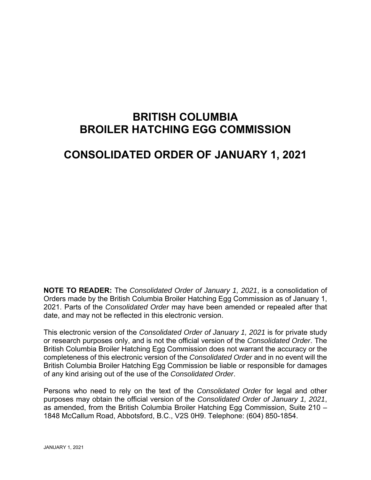# **BRITISH COLUMBIA BROILER HATCHING EGG COMMISSION**

# **CONSOLIDATED ORDER OF JANUARY 1, 2021**

**NOTE TO READER:** The *Consolidated Order of January 1, 2021*, is a consolidation of Orders made by the British Columbia Broiler Hatching Egg Commission as of January 1, 2021. Parts of the *Consolidated Order* may have been amended or repealed after that date, and may not be reflected in this electronic version.

This electronic version of the *Consolidated Order of January 1, 2021* is for private study or research purposes only, and is not the official version of the *Consolidated Order*. The British Columbia Broiler Hatching Egg Commission does not warrant the accuracy or the completeness of this electronic version of the *Consolidated Order* and in no event will the British Columbia Broiler Hatching Egg Commission be liable or responsible for damages of any kind arising out of the use of the *Consolidated Order*.

Persons who need to rely on the text of the *Consolidated Order* for legal and other purposes may obtain the official version of the *Consolidated Order of January 1, 2021*, as amended, from the British Columbia Broiler Hatching Egg Commission, Suite 210 – 1848 McCallum Road, Abbotsford, B.C., V2S 0H9. Telephone: (604) 850-1854.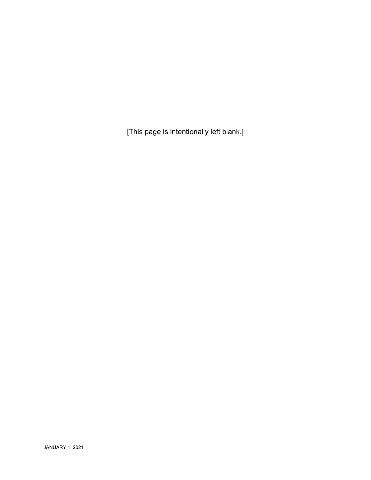[This page is intentionally left blank.]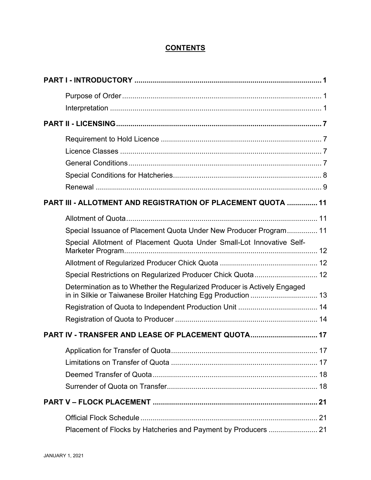# **CONTENTS**

| PART III - ALLOTMENT AND REGISTRATION OF PLACEMENT QUOTA  11                                                                              |  |
|-------------------------------------------------------------------------------------------------------------------------------------------|--|
|                                                                                                                                           |  |
| Special Issuance of Placement Quota Under New Producer Program 11                                                                         |  |
| Special Allotment of Placement Quota Under Small-Lot Innovative Self-                                                                     |  |
|                                                                                                                                           |  |
| Special Restrictions on Regularized Producer Chick Quota 12                                                                               |  |
| Determination as to Whether the Regularized Producer is Actively Engaged<br>in in Silkie or Taiwanese Broiler Hatching Egg Production  13 |  |
|                                                                                                                                           |  |
|                                                                                                                                           |  |
| PART IV - TRANSFER AND LEASE OF PLACEMENT QUOTA 17                                                                                        |  |
|                                                                                                                                           |  |
|                                                                                                                                           |  |
|                                                                                                                                           |  |
|                                                                                                                                           |  |
|                                                                                                                                           |  |
|                                                                                                                                           |  |
| Placement of Flocks by Hatcheries and Payment by Producers  21                                                                            |  |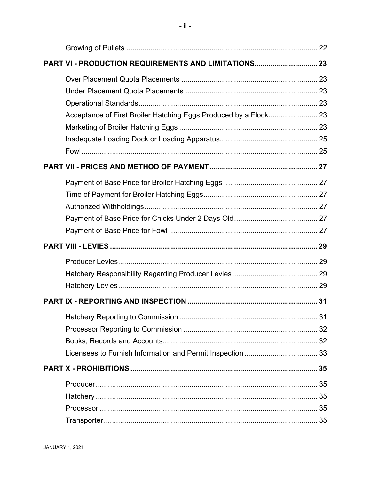| PART VI - PRODUCTION REQUIREMENTS AND LIMITATIONS 23 |  |
|------------------------------------------------------|--|
|                                                      |  |
|                                                      |  |
|                                                      |  |
|                                                      |  |
|                                                      |  |
|                                                      |  |
|                                                      |  |
|                                                      |  |
|                                                      |  |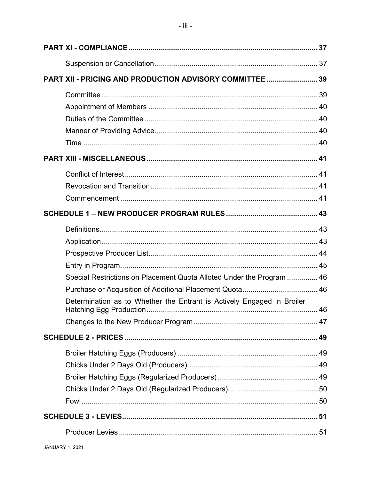| PART XII - PRICING AND PRODUCTION ADVISORY COMMITTEE  39               |  |
|------------------------------------------------------------------------|--|
|                                                                        |  |
|                                                                        |  |
|                                                                        |  |
|                                                                        |  |
|                                                                        |  |
|                                                                        |  |
|                                                                        |  |
|                                                                        |  |
|                                                                        |  |
|                                                                        |  |
|                                                                        |  |
|                                                                        |  |
|                                                                        |  |
|                                                                        |  |
| Special Restrictions on Placement Quota Alloted Under the Program  46  |  |
| Purchase or Acquisition of Additional Placement Quota 46               |  |
| Determination as to Whether the Entrant is Actively Engaged in Broiler |  |
|                                                                        |  |
|                                                                        |  |
|                                                                        |  |
|                                                                        |  |
|                                                                        |  |
|                                                                        |  |
|                                                                        |  |
|                                                                        |  |
|                                                                        |  |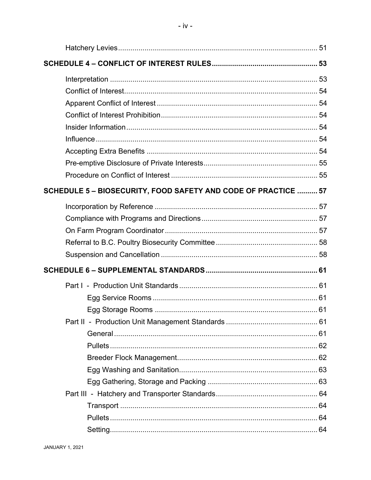| SCHEDULE 5 - BIOSECURITY, FOOD SAFETY AND CODE OF PRACTICE  57 |    |
|----------------------------------------------------------------|----|
|                                                                |    |
|                                                                |    |
|                                                                |    |
|                                                                |    |
|                                                                |    |
|                                                                |    |
|                                                                |    |
|                                                                |    |
|                                                                | 61 |
|                                                                |    |
|                                                                |    |
|                                                                |    |
|                                                                |    |
|                                                                |    |
|                                                                |    |
|                                                                |    |
|                                                                |    |
|                                                                |    |
|                                                                |    |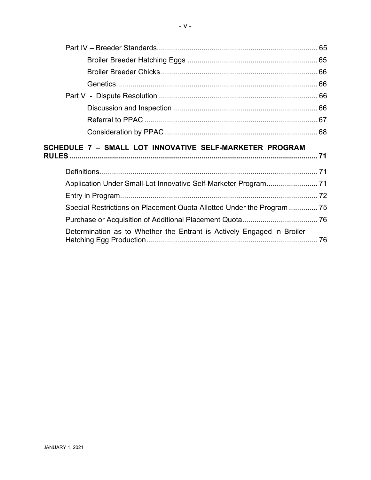| SCHEDULE 7 - SMALL LOT INNOVATIVE SELF-MARKETER PROGRAM                |  |
|------------------------------------------------------------------------|--|
|                                                                        |  |
|                                                                        |  |
|                                                                        |  |
| Special Restrictions on Placement Quota Allotted Under the Program  75 |  |
|                                                                        |  |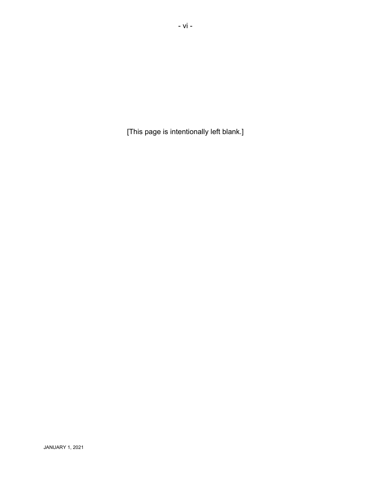[This page is intentionally left blank.]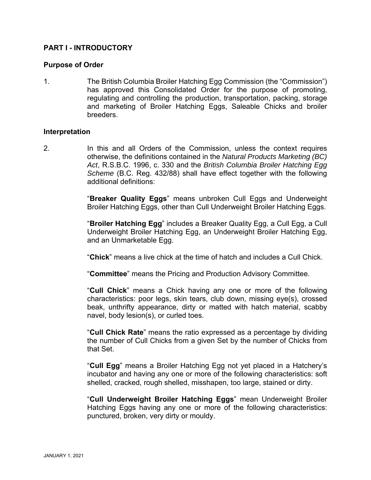# **PART I - INTRODUCTORY**

### **Purpose of Order**

1. The British Columbia Broiler Hatching Egg Commission (the "Commission") has approved this Consolidated Order for the purpose of promoting, regulating and controlling the production, transportation, packing, storage and marketing of Broiler Hatching Eggs, Saleable Chicks and broiler breeders.

#### **Interpretation**

2. In this and all Orders of the Commission, unless the context requires otherwise, the definitions contained in the *Natural Products Marketing (BC) Act*, R.S.B.C. 1996, c. 330 and the *British Columbia Broiler Hatching Egg Scheme* (B.C. Reg. 432/88) shall have effect together with the following additional definitions:

> "**Breaker Quality Eggs**" means unbroken Cull Eggs and Underweight Broiler Hatching Eggs, other than Cull Underweight Broiler Hatching Eggs.

> "**Broiler Hatching Egg**" includes a Breaker Quality Egg, a Cull Egg, a Cull Underweight Broiler Hatching Egg, an Underweight Broiler Hatching Egg, and an Unmarketable Egg.

"**Chick**" means a live chick at the time of hatch and includes a Cull Chick.

"**Committee**" means the Pricing and Production Advisory Committee.

"**Cull Chick**" means a Chick having any one or more of the following characteristics: poor legs, skin tears, club down, missing eye(s), crossed beak, unthrifty appearance, dirty or matted with hatch material, scabby navel, body lesion(s), or curled toes.

"**Cull Chick Rate**" means the ratio expressed as a percentage by dividing the number of Cull Chicks from a given Set by the number of Chicks from that Set.

"**Cull Egg**" means a Broiler Hatching Egg not yet placed in a Hatchery's incubator and having any one or more of the following characteristics: soft shelled, cracked, rough shelled, misshapen, too large, stained or dirty.

"**Cull Underweight Broiler Hatching Eggs**" mean Underweight Broiler Hatching Eggs having any one or more of the following characteristics: punctured, broken, very dirty or mouldy.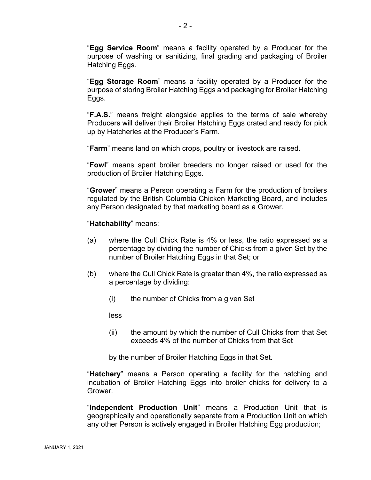"**Egg Service Room**" means a facility operated by a Producer for the purpose of washing or sanitizing, final grading and packaging of Broiler Hatching Eggs.

"**Egg Storage Room**" means a facility operated by a Producer for the purpose of storing Broiler Hatching Eggs and packaging for Broiler Hatching Eggs.

"**F.A.S.**" means freight alongside applies to the terms of sale whereby Producers will deliver their Broiler Hatching Eggs crated and ready for pick up by Hatcheries at the Producer's Farm.

"**Farm**" means land on which crops, poultry or livestock are raised.

"**Fowl**" means spent broiler breeders no longer raised or used for the production of Broiler Hatching Eggs.

"**Grower**" means a Person operating a Farm for the production of broilers regulated by the British Columbia Chicken Marketing Board, and includes any Person designated by that marketing board as a Grower.

"**Hatchability**" means:

- (a) where the Cull Chick Rate is 4% or less, the ratio expressed as a percentage by dividing the number of Chicks from a given Set by the number of Broiler Hatching Eggs in that Set; or
- (b) where the Cull Chick Rate is greater than 4%, the ratio expressed as a percentage by dividing:
	- (i) the number of Chicks from a given Set

less

(ii) the amount by which the number of Cull Chicks from that Set exceeds 4% of the number of Chicks from that Set

by the number of Broiler Hatching Eggs in that Set.

"**Hatchery**" means a Person operating a facility for the hatching and incubation of Broiler Hatching Eggs into broiler chicks for delivery to a Grower.

"**Independent Production Unit**" means a Production Unit that is geographically and operationally separate from a Production Unit on which any other Person is actively engaged in Broiler Hatching Egg production;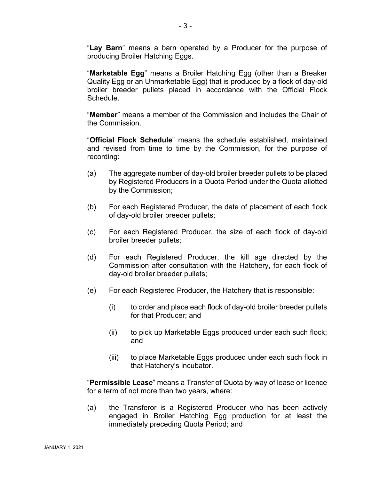"**Lay Barn**" means a barn operated by a Producer for the purpose of producing Broiler Hatching Eggs.

"**Marketable Egg**" means a Broiler Hatching Egg (other than a Breaker Quality Egg or an Unmarketable Egg) that is produced by a flock of day-old broiler breeder pullets placed in accordance with the Official Flock **Schedule** 

"**Member**" means a member of the Commission and includes the Chair of the Commission.

"**Official Flock Schedule**" means the schedule established, maintained and revised from time to time by the Commission, for the purpose of recording:

- (a) The aggregate number of day-old broiler breeder pullets to be placed by Registered Producers in a Quota Period under the Quota allotted by the Commission;
- (b) For each Registered Producer, the date of placement of each flock of day-old broiler breeder pullets;
- (c) For each Registered Producer, the size of each flock of day-old broiler breeder pullets;
- (d) For each Registered Producer, the kill age directed by the Commission after consultation with the Hatchery, for each flock of day-old broiler breeder pullets;
- (e) For each Registered Producer, the Hatchery that is responsible:
	- (i) to order and place each flock of day-old broiler breeder pullets for that Producer; and
	- (ii) to pick up Marketable Eggs produced under each such flock; and
	- (iii) to place Marketable Eggs produced under each such flock in that Hatchery's incubator.

"**Permissible Lease**" means a Transfer of Quota by way of lease or licence for a term of not more than two years, where:

(a) the Transferor is a Registered Producer who has been actively engaged in Broiler Hatching Egg production for at least the immediately preceding Quota Period; and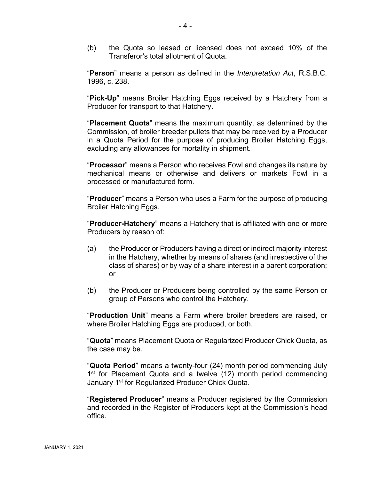(b) the Quota so leased or licensed does not exceed 10% of the Transferor's total allotment of Quota.

"**Person**" means a person as defined in the *Interpretation Act*, R.S.B.C. 1996, c. 238.

"**Pick-Up**" means Broiler Hatching Eggs received by a Hatchery from a Producer for transport to that Hatchery.

"**Placement Quota**" means the maximum quantity, as determined by the Commission, of broiler breeder pullets that may be received by a Producer in a Quota Period for the purpose of producing Broiler Hatching Eggs, excluding any allowances for mortality in shipment.

"**Processor**" means a Person who receives Fowl and changes its nature by mechanical means or otherwise and delivers or markets Fowl in a processed or manufactured form.

"**Producer**" means a Person who uses a Farm for the purpose of producing Broiler Hatching Eggs.

"**Producer-Hatchery**" means a Hatchery that is affiliated with one or more Producers by reason of:

- (a) the Producer or Producers having a direct or indirect majority interest in the Hatchery, whether by means of shares (and irrespective of the class of shares) or by way of a share interest in a parent corporation; or
- (b) the Producer or Producers being controlled by the same Person or group of Persons who control the Hatchery.

"**Production Unit**" means a Farm where broiler breeders are raised, or where Broiler Hatching Eggs are produced, or both.

"**Quota**" means Placement Quota or Regularized Producer Chick Quota, as the case may be.

"**Quota Period**" means a twenty-four (24) month period commencing July 1<sup>st</sup> for Placement Quota and a twelve (12) month period commencing January 1<sup>st</sup> for Regularized Producer Chick Quota.

"**Registered Producer**" means a Producer registered by the Commission and recorded in the Register of Producers kept at the Commission's head office.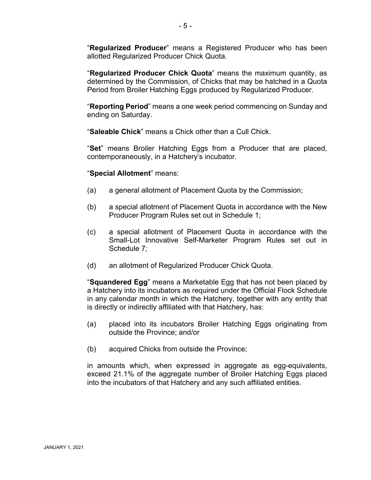"**Regularized Producer**" means a Registered Producer who has been allotted Regularized Producer Chick Quota.

"**Regularized Producer Chick Quota**" means the maximum quantity, as determined by the Commission, of Chicks that may be hatched in a Quota Period from Broiler Hatching Eggs produced by Regularized Producer.

"**Reporting Period**" means a one week period commencing on Sunday and ending on Saturday.

"**Saleable Chick**" means a Chick other than a Cull Chick.

"**Set**" means Broiler Hatching Eggs from a Producer that are placed, contemporaneously, in a Hatchery's incubator.

"**Special Allotment**" means:

- (a) a general allotment of Placement Quota by the Commission;
- (b) a special allotment of Placement Quota in accordance with the New Producer Program Rules set out in Schedule 1;
- (c) a special allotment of Placement Quota in accordance with the Small-Lot Innovative Self-Marketer Program Rules set out in Schedule 7;
- (d) an allotment of Regularized Producer Chick Quota.

"**Squandered Egg**" means a Marketable Egg that has not been placed by a Hatchery into its incubators as required under the Official Flock Schedule in any calendar month in which the Hatchery, together with any entity that is directly or indirectly affiliated with that Hatchery, has:

- (a) placed into its incubators Broiler Hatching Eggs originating from outside the Province; and/or
- (b) acquired Chicks from outside the Province;

in amounts which, when expressed in aggregate as egg-equivalents, exceed 21.1% of the aggregate number of Broiler Hatching Eggs placed into the incubators of that Hatchery and any such affiliated entities.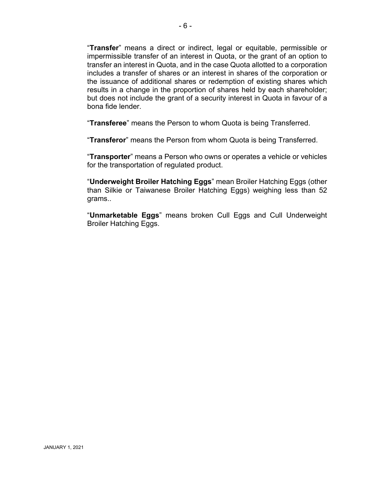"**Transfer**" means a direct or indirect, legal or equitable, permissible or impermissible transfer of an interest in Quota, or the grant of an option to transfer an interest in Quota, and in the case Quota allotted to a corporation includes a transfer of shares or an interest in shares of the corporation or the issuance of additional shares or redemption of existing shares which results in a change in the proportion of shares held by each shareholder; but does not include the grant of a security interest in Quota in favour of a bona fide lender.

"**Transferee**" means the Person to whom Quota is being Transferred.

"**Transferor**" means the Person from whom Quota is being Transferred.

"**Transporter**" means a Person who owns or operates a vehicle or vehicles for the transportation of regulated product.

"**Underweight Broiler Hatching Eggs**" mean Broiler Hatching Eggs (other than Silkie or Taiwanese Broiler Hatching Eggs) weighing less than 52 grams..

"**Unmarketable Eggs**" means broken Cull Eggs and Cull Underweight Broiler Hatching Eggs.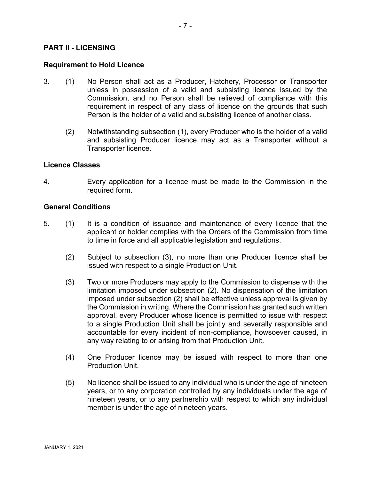### **PART II - LICENSING**

### **Requirement to Hold Licence**

- 3. (1) No Person shall act as a Producer, Hatchery, Processor or Transporter unless in possession of a valid and subsisting licence issued by the Commission, and no Person shall be relieved of compliance with this requirement in respect of any class of licence on the grounds that such Person is the holder of a valid and subsisting licence of another class.
	- (2) Notwithstanding subsection (1), every Producer who is the holder of a valid and subsisting Producer licence may act as a Transporter without a Transporter licence.

#### **Licence Classes**

4. Every application for a licence must be made to the Commission in the required form.

#### **General Conditions**

- 5. (1) It is a condition of issuance and maintenance of every licence that the applicant or holder complies with the Orders of the Commission from time to time in force and all applicable legislation and regulations.
	- (2) Subject to subsection (3), no more than one Producer licence shall be issued with respect to a single Production Unit.
	- (3) Two or more Producers may apply to the Commission to dispense with the limitation imposed under subsection (2). No dispensation of the limitation imposed under subsection (2) shall be effective unless approval is given by the Commission in writing. Where the Commission has granted such written approval, every Producer whose licence is permitted to issue with respect to a single Production Unit shall be jointly and severally responsible and accountable for every incident of non-compliance, howsoever caused, in any way relating to or arising from that Production Unit.
	- (4) One Producer licence may be issued with respect to more than one Production Unit.
	- (5) No licence shall be issued to any individual who is under the age of nineteen years, or to any corporation controlled by any individuals under the age of nineteen years, or to any partnership with respect to which any individual member is under the age of nineteen years.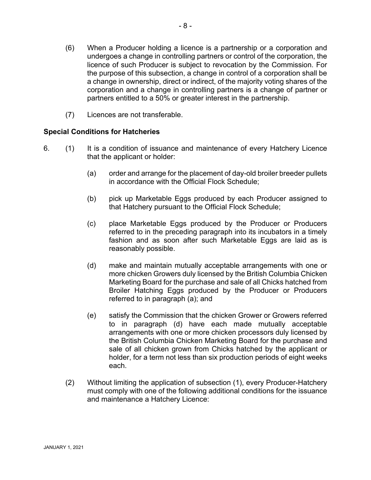- (6) When a Producer holding a licence is a partnership or a corporation and undergoes a change in controlling partners or control of the corporation, the licence of such Producer is subject to revocation by the Commission. For the purpose of this subsection, a change in control of a corporation shall be a change in ownership, direct or indirect, of the majority voting shares of the corporation and a change in controlling partners is a change of partner or partners entitled to a 50% or greater interest in the partnership.
- (7) Licences are not transferable.

## **Special Conditions for Hatcheries**

- 6. (1) It is a condition of issuance and maintenance of every Hatchery Licence that the applicant or holder:
	- (a) order and arrange for the placement of day-old broiler breeder pullets in accordance with the Official Flock Schedule;
	- (b) pick up Marketable Eggs produced by each Producer assigned to that Hatchery pursuant to the Official Flock Schedule;
	- (c) place Marketable Eggs produced by the Producer or Producers referred to in the preceding paragraph into its incubators in a timely fashion and as soon after such Marketable Eggs are laid as is reasonably possible.
	- (d) make and maintain mutually acceptable arrangements with one or more chicken Growers duly licensed by the British Columbia Chicken Marketing Board for the purchase and sale of all Chicks hatched from Broiler Hatching Eggs produced by the Producer or Producers referred to in paragraph (a); and
	- (e) satisfy the Commission that the chicken Grower or Growers referred to in paragraph (d) have each made mutually acceptable arrangements with one or more chicken processors duly licensed by the British Columbia Chicken Marketing Board for the purchase and sale of all chicken grown from Chicks hatched by the applicant or holder, for a term not less than six production periods of eight weeks each.
	- (2) Without limiting the application of subsection (1), every Producer-Hatchery must comply with one of the following additional conditions for the issuance and maintenance a Hatchery Licence: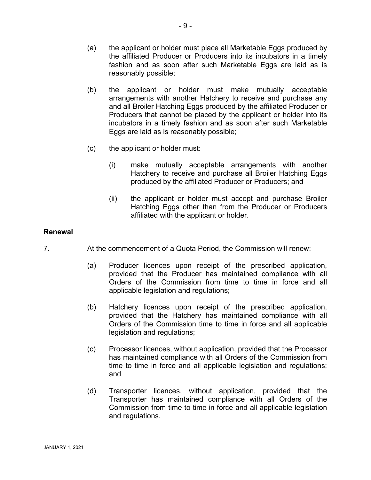- (a) the applicant or holder must place all Marketable Eggs produced by the affiliated Producer or Producers into its incubators in a timely fashion and as soon after such Marketable Eggs are laid as is reasonably possible;
- (b) the applicant or holder must make mutually acceptable arrangements with another Hatchery to receive and purchase any and all Broiler Hatching Eggs produced by the affiliated Producer or Producers that cannot be placed by the applicant or holder into its incubators in a timely fashion and as soon after such Marketable Eggs are laid as is reasonably possible;
- (c) the applicant or holder must:
	- (i) make mutually acceptable arrangements with another Hatchery to receive and purchase all Broiler Hatching Eggs produced by the affiliated Producer or Producers; and
	- (ii) the applicant or holder must accept and purchase Broiler Hatching Eggs other than from the Producer or Producers affiliated with the applicant or holder.

# **Renewal**

- 7. At the commencement of a Quota Period, the Commission will renew:
	- (a) Producer licences upon receipt of the prescribed application, provided that the Producer has maintained compliance with all Orders of the Commission from time to time in force and all applicable legislation and regulations;
	- (b) Hatchery licences upon receipt of the prescribed application, provided that the Hatchery has maintained compliance with all Orders of the Commission time to time in force and all applicable legislation and regulations;
	- (c) Processor licences, without application, provided that the Processor has maintained compliance with all Orders of the Commission from time to time in force and all applicable legislation and regulations; and
	- (d) Transporter licences, without application, provided that the Transporter has maintained compliance with all Orders of the Commission from time to time in force and all applicable legislation and regulations.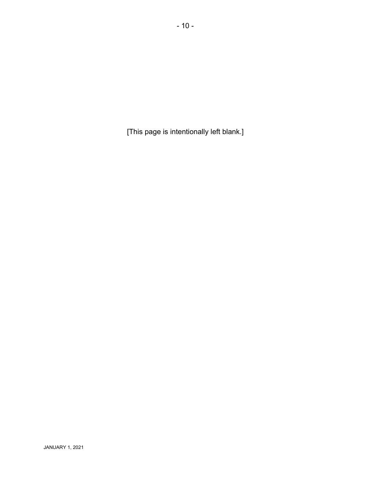[This page is intentionally left blank.]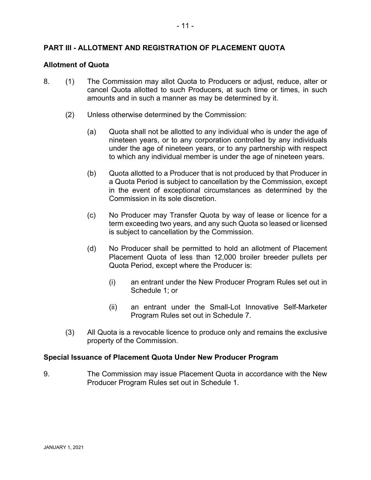# **PART III - ALLOTMENT AND REGISTRATION OF PLACEMENT QUOTA**

# **Allotment of Quota**

- 8. (1) The Commission may allot Quota to Producers or adjust, reduce, alter or cancel Quota allotted to such Producers, at such time or times, in such amounts and in such a manner as may be determined by it.
	- (2) Unless otherwise determined by the Commission:
		- (a) Quota shall not be allotted to any individual who is under the age of nineteen years, or to any corporation controlled by any individuals under the age of nineteen years, or to any partnership with respect to which any individual member is under the age of nineteen years.
		- (b) Quota allotted to a Producer that is not produced by that Producer in a Quota Period is subject to cancellation by the Commission, except in the event of exceptional circumstances as determined by the Commission in its sole discretion.
		- (c) No Producer may Transfer Quota by way of lease or licence for a term exceeding two years, and any such Quota so leased or licensed is subject to cancellation by the Commission.
		- (d) No Producer shall be permitted to hold an allotment of Placement Placement Quota of less than 12,000 broiler breeder pullets per Quota Period, except where the Producer is:
			- (i) an entrant under the New Producer Program Rules set out in Schedule 1; or
			- (ii) an entrant under the Small-Lot Innovative Self-Marketer Program Rules set out in Schedule 7.
	- (3) All Quota is a revocable licence to produce only and remains the exclusive property of the Commission.

#### **Special Issuance of Placement Quota Under New Producer Program**

9. The Commission may issue Placement Quota in accordance with the New Producer Program Rules set out in Schedule 1.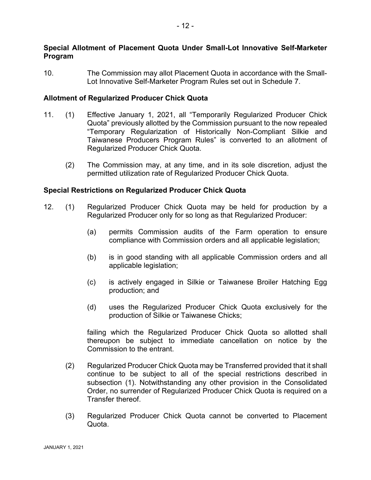10. The Commission may allot Placement Quota in accordance with the Small-Lot Innovative Self-Marketer Program Rules set out in Schedule 7.

# **Allotment of Regularized Producer Chick Quota**

- 11. (1) Effective January 1, 2021, all "Temporarily Regularized Producer Chick Quota" previously allotted by the Commission pursuant to the now repealed "Temporary Regularization of Historically Non-Compliant Silkie and Taiwanese Producers Program Rules" is converted to an allotment of Regularized Producer Chick Quota.
	- (2) The Commission may, at any time, and in its sole discretion, adjust the permitted utilization rate of Regularized Producer Chick Quota.

# **Special Restrictions on Regularized Producer Chick Quota**

- 12. (1) Regularized Producer Chick Quota may be held for production by a Regularized Producer only for so long as that Regularized Producer:
	- (a) permits Commission audits of the Farm operation to ensure compliance with Commission orders and all applicable legislation;
	- (b) is in good standing with all applicable Commission orders and all applicable legislation;
	- (c) is actively engaged in Silkie or Taiwanese Broiler Hatching Egg production; and
	- (d) uses the Regularized Producer Chick Quota exclusively for the production of Silkie or Taiwanese Chicks;

 failing which the Regularized Producer Chick Quota so allotted shall thereupon be subject to immediate cancellation on notice by the Commission to the entrant.

- (2) Regularized Producer Chick Quota may be Transferred provided that it shall continue to be subject to all of the special restrictions described in subsection (1). Notwithstanding any other provision in the Consolidated Order, no surrender of Regularized Producer Chick Quota is required on a Transfer thereof.
- (3) Regularized Producer Chick Quota cannot be converted to Placement Quota.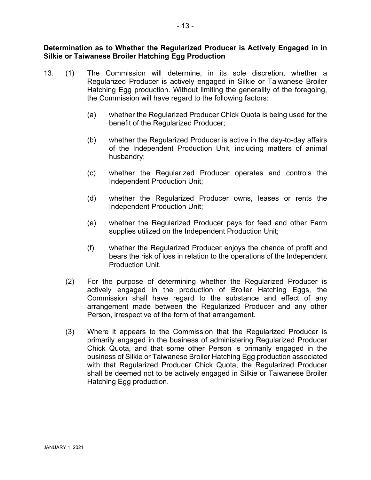## **Determination as to Whether the Regularized Producer is Actively Engaged in in Silkie or Taiwanese Broiler Hatching Egg Production**

- 13. (1) The Commission will determine, in its sole discretion, whether a Regularized Producer is actively engaged in Silkie or Taiwanese Broiler Hatching Egg production. Without limiting the generality of the foregoing, the Commission will have regard to the following factors:
	- (a) whether the Regularized Producer Chick Quota is being used for the benefit of the Regularized Producer;
	- (b) whether the Regularized Producer is active in the day-to-day affairs of the Independent Production Unit, including matters of animal husbandry;
	- (c) whether the Regularized Producer operates and controls the Independent Production Unit;
	- (d) whether the Regularized Producer owns, leases or rents the Independent Production Unit;
	- (e) whether the Regularized Producer pays for feed and other Farm supplies utilized on the Independent Production Unit;
	- (f) whether the Regularized Producer enjoys the chance of profit and bears the risk of loss in relation to the operations of the Independent Production Unit.
	- (2) For the purpose of determining whether the Regularized Producer is actively engaged in the production of Broiler Hatching Eggs, the Commission shall have regard to the substance and effect of any arrangement made between the Regularized Producer and any other Person, irrespective of the form of that arrangement.
	- (3) Where it appears to the Commission that the Regularized Producer is primarily engaged in the business of administering Regularized Producer Chick Quota, and that some other Person is primarily engaged in the business of Silkie or Taiwanese Broiler Hatching Egg production associated with that Regularized Producer Chick Quota, the Regularized Producer shall be deemed not to be actively engaged in Silkie or Taiwanese Broiler Hatching Egg production.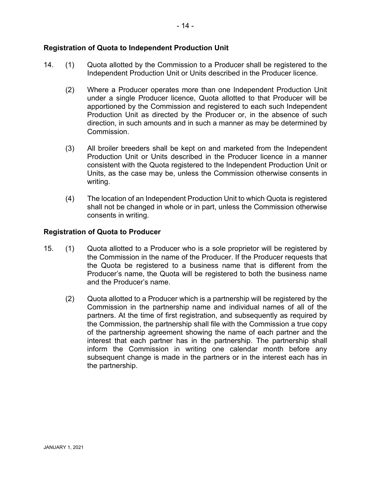# **Registration of Quota to Independent Production Unit**

- 14. (1) Quota allotted by the Commission to a Producer shall be registered to the Independent Production Unit or Units described in the Producer licence.
	- (2) Where a Producer operates more than one Independent Production Unit under a single Producer licence, Quota allotted to that Producer will be apportioned by the Commission and registered to each such Independent Production Unit as directed by the Producer or, in the absence of such direction, in such amounts and in such a manner as may be determined by Commission.
	- (3) All broiler breeders shall be kept on and marketed from the Independent Production Unit or Units described in the Producer licence in a manner consistent with the Quota registered to the Independent Production Unit or Units, as the case may be, unless the Commission otherwise consents in writing.
	- (4) The location of an Independent Production Unit to which Quota is registered shall not be changed in whole or in part, unless the Commission otherwise consents in writing.

# **Registration of Quota to Producer**

- 15. (1) Quota allotted to a Producer who is a sole proprietor will be registered by the Commission in the name of the Producer. If the Producer requests that the Quota be registered to a business name that is different from the Producer's name, the Quota will be registered to both the business name and the Producer's name.
	- (2) Quota allotted to a Producer which is a partnership will be registered by the Commission in the partnership name and individual names of all of the partners. At the time of first registration, and subsequently as required by the Commission, the partnership shall file with the Commission a true copy of the partnership agreement showing the name of each partner and the interest that each partner has in the partnership. The partnership shall inform the Commission in writing one calendar month before any subsequent change is made in the partners or in the interest each has in the partnership.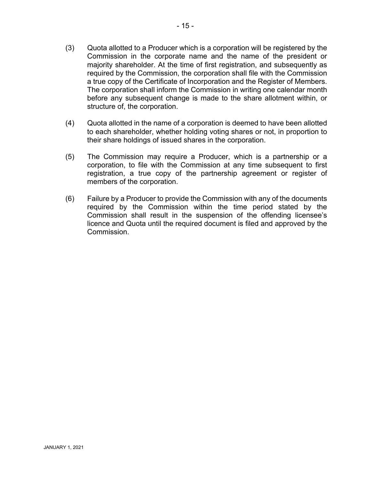- (3) Quota allotted to a Producer which is a corporation will be registered by the Commission in the corporate name and the name of the president or majority shareholder. At the time of first registration, and subsequently as required by the Commission, the corporation shall file with the Commission a true copy of the Certificate of Incorporation and the Register of Members. The corporation shall inform the Commission in writing one calendar month before any subsequent change is made to the share allotment within, or structure of, the corporation.
- (4) Quota allotted in the name of a corporation is deemed to have been allotted to each shareholder, whether holding voting shares or not, in proportion to their share holdings of issued shares in the corporation.
- (5) The Commission may require a Producer, which is a partnership or a corporation, to file with the Commission at any time subsequent to first registration, a true copy of the partnership agreement or register of members of the corporation.
- (6) Failure by a Producer to provide the Commission with any of the documents required by the Commission within the time period stated by the Commission shall result in the suspension of the offending licensee's licence and Quota until the required document is filed and approved by the Commission.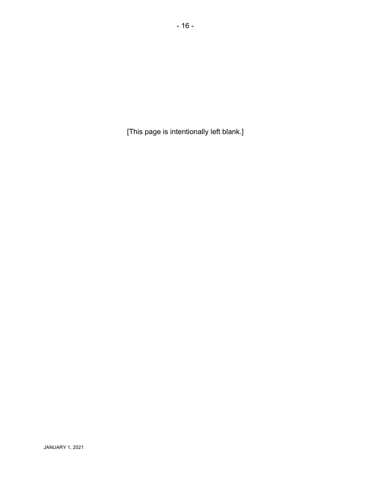[This page is intentionally left blank.]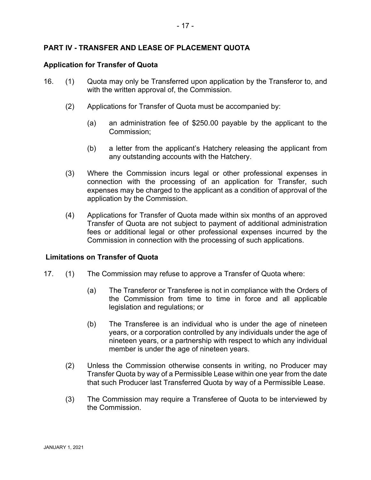# **PART IV - TRANSFER AND LEASE OF PLACEMENT QUOTA**

# **Application for Transfer of Quota**

- 16. (1) Quota may only be Transferred upon application by the Transferor to, and with the written approval of, the Commission.
	- (2) Applications for Transfer of Quota must be accompanied by:
		- (a) an administration fee of \$250.00 payable by the applicant to the Commission;
		- (b) a letter from the applicant's Hatchery releasing the applicant from any outstanding accounts with the Hatchery.
	- (3) Where the Commission incurs legal or other professional expenses in connection with the processing of an application for Transfer, such expenses may be charged to the applicant as a condition of approval of the application by the Commission.
	- (4) Applications for Transfer of Quota made within six months of an approved Transfer of Quota are not subject to payment of additional administration fees or additional legal or other professional expenses incurred by the Commission in connection with the processing of such applications.

#### **Limitations on Transfer of Quota**

- 17. (1) The Commission may refuse to approve a Transfer of Quota where:
	- (a) The Transferor or Transferee is not in compliance with the Orders of the Commission from time to time in force and all applicable legislation and regulations; or
	- (b) The Transferee is an individual who is under the age of nineteen years, or a corporation controlled by any individuals under the age of nineteen years, or a partnership with respect to which any individual member is under the age of nineteen years.
	- (2) Unless the Commission otherwise consents in writing, no Producer may Transfer Quota by way of a Permissible Lease within one year from the date that such Producer last Transferred Quota by way of a Permissible Lease.
	- (3) The Commission may require a Transferee of Quota to be interviewed by the Commission.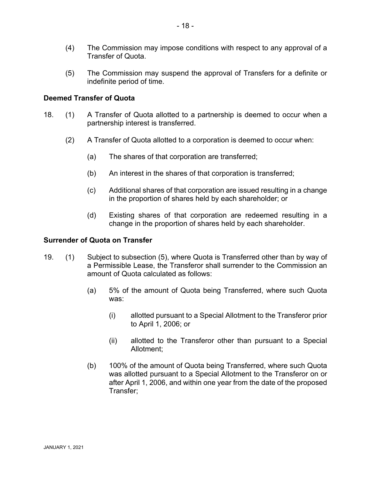- (4) The Commission may impose conditions with respect to any approval of a Transfer of Quota.
- (5) The Commission may suspend the approval of Transfers for a definite or indefinite period of time.

## **Deemed Transfer of Quota**

- 18. (1) A Transfer of Quota allotted to a partnership is deemed to occur when a partnership interest is transferred.
	- (2) A Transfer of Quota allotted to a corporation is deemed to occur when:
		- (a) The shares of that corporation are transferred;
		- (b) An interest in the shares of that corporation is transferred;
		- (c) Additional shares of that corporation are issued resulting in a change in the proportion of shares held by each shareholder; or
		- (d) Existing shares of that corporation are redeemed resulting in a change in the proportion of shares held by each shareholder.

#### **Surrender of Quota on Transfer**

- 19. (1) Subject to subsection (5), where Quota is Transferred other than by way of a Permissible Lease, the Transferor shall surrender to the Commission an amount of Quota calculated as follows:
	- (a) 5% of the amount of Quota being Transferred, where such Quota was:
		- (i) allotted pursuant to a Special Allotment to the Transferor prior to April 1, 2006; or
		- (ii) allotted to the Transferor other than pursuant to a Special Allotment;
	- (b) 100% of the amount of Quota being Transferred, where such Quota was allotted pursuant to a Special Allotment to the Transferor on or after April 1, 2006, and within one year from the date of the proposed Transfer;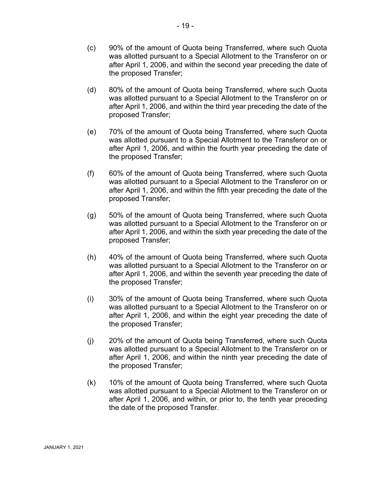- (d) 80% of the amount of Quota being Transferred, where such Quota was allotted pursuant to a Special Allotment to the Transferor on or after April 1, 2006, and within the third year preceding the date of the proposed Transfer;
- (e) 70% of the amount of Quota being Transferred, where such Quota was allotted pursuant to a Special Allotment to the Transferor on or after April 1, 2006, and within the fourth year preceding the date of the proposed Transfer;
- (f) 60% of the amount of Quota being Transferred, where such Quota was allotted pursuant to a Special Allotment to the Transferor on or after April 1, 2006, and within the fifth year preceding the date of the proposed Transfer;
- (g) 50% of the amount of Quota being Transferred, where such Quota was allotted pursuant to a Special Allotment to the Transferor on or after April 1, 2006, and within the sixth year preceding the date of the proposed Transfer;
- (h) 40% of the amount of Quota being Transferred, where such Quota was allotted pursuant to a Special Allotment to the Transferor on or after April 1, 2006, and within the seventh year preceding the date of the proposed Transfer;
- (i) 30% of the amount of Quota being Transferred, where such Quota was allotted pursuant to a Special Allotment to the Transferor on or after April 1, 2006, and within the eight year preceding the date of the proposed Transfer;
- (j) 20% of the amount of Quota being Transferred, where such Quota was allotted pursuant to a Special Allotment to the Transferor on or after April 1, 2006, and within the ninth year preceding the date of the proposed Transfer;
- (k) 10% of the amount of Quota being Transferred, where such Quota was allotted pursuant to a Special Allotment to the Transferor on or after April 1, 2006, and within, or prior to, the tenth year preceding the date of the proposed Transfer.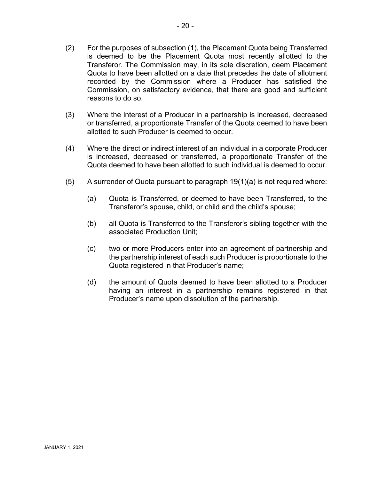- (2) For the purposes of subsection (1), the Placement Quota being Transferred is deemed to be the Placement Quota most recently allotted to the Transferor. The Commission may, in its sole discretion, deem Placement Quota to have been allotted on a date that precedes the date of allotment recorded by the Commission where a Producer has satisfied the Commission, on satisfactory evidence, that there are good and sufficient reasons to do so.
- (3) Where the interest of a Producer in a partnership is increased, decreased or transferred, a proportionate Transfer of the Quota deemed to have been allotted to such Producer is deemed to occur.
- (4) Where the direct or indirect interest of an individual in a corporate Producer is increased, decreased or transferred, a proportionate Transfer of the Quota deemed to have been allotted to such individual is deemed to occur.
- (5) A surrender of Quota pursuant to paragraph 19(1)(a) is not required where:
	- (a) Quota is Transferred, or deemed to have been Transferred, to the Transferor's spouse, child, or child and the child's spouse;
	- (b) all Quota is Transferred to the Transferor's sibling together with the associated Production Unit;
	- (c) two or more Producers enter into an agreement of partnership and the partnership interest of each such Producer is proportionate to the Quota registered in that Producer's name;
	- (d) the amount of Quota deemed to have been allotted to a Producer having an interest in a partnership remains registered in that Producer's name upon dissolution of the partnership.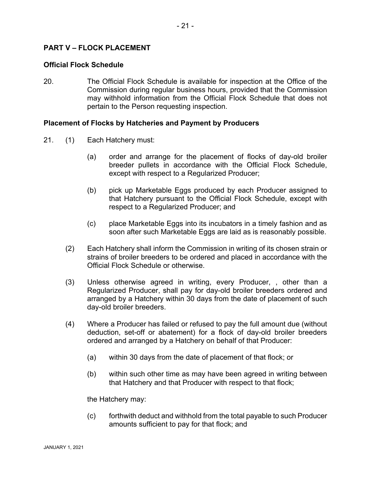# **PART V – FLOCK PLACEMENT**

#### **Official Flock Schedule**

20. The Official Flock Schedule is available for inspection at the Office of the Commission during regular business hours, provided that the Commission may withhold information from the Official Flock Schedule that does not pertain to the Person requesting inspection.

#### **Placement of Flocks by Hatcheries and Payment by Producers**

- 21. (1) Each Hatchery must:
	- (a) order and arrange for the placement of flocks of day-old broiler breeder pullets in accordance with the Official Flock Schedule, except with respect to a Regularized Producer;
	- (b) pick up Marketable Eggs produced by each Producer assigned to that Hatchery pursuant to the Official Flock Schedule, except with respect to a Regularized Producer; and
	- (c) place Marketable Eggs into its incubators in a timely fashion and as soon after such Marketable Eggs are laid as is reasonably possible.
	- (2) Each Hatchery shall inform the Commission in writing of its chosen strain or strains of broiler breeders to be ordered and placed in accordance with the Official Flock Schedule or otherwise.
	- (3) Unless otherwise agreed in writing, every Producer, , other than a Regularized Producer, shall pay for day-old broiler breeders ordered and arranged by a Hatchery within 30 days from the date of placement of such day-old broiler breeders.
	- (4) Where a Producer has failed or refused to pay the full amount due (without deduction, set-off or abatement) for a flock of day-old broiler breeders ordered and arranged by a Hatchery on behalf of that Producer:
		- (a) within 30 days from the date of placement of that flock; or
		- (b) within such other time as may have been agreed in writing between that Hatchery and that Producer with respect to that flock;

the Hatchery may:

(c) forthwith deduct and withhold from the total payable to such Producer amounts sufficient to pay for that flock; and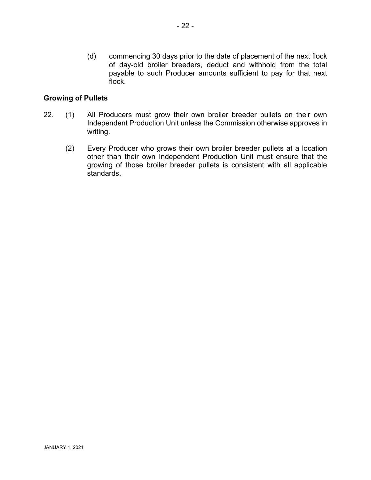(d) commencing 30 days prior to the date of placement of the next flock of day-old broiler breeders, deduct and withhold from the total payable to such Producer amounts sufficient to pay for that next flock.

# **Growing of Pullets**

- 22. (1) All Producers must grow their own broiler breeder pullets on their own Independent Production Unit unless the Commission otherwise approves in writing.
	- (2) Every Producer who grows their own broiler breeder pullets at a location other than their own Independent Production Unit must ensure that the growing of those broiler breeder pullets is consistent with all applicable standards.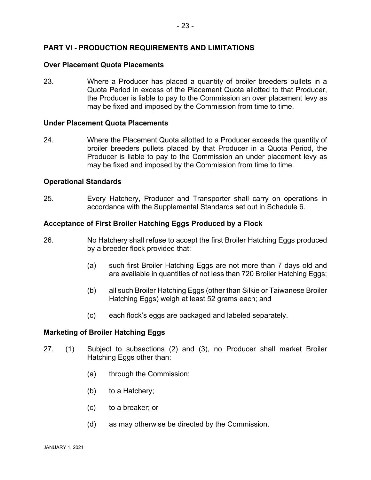# **PART VI - PRODUCTION REQUIREMENTS AND LIMITATIONS**

## **Over Placement Quota Placements**

23. Where a Producer has placed a quantity of broiler breeders pullets in a Quota Period in excess of the Placement Quota allotted to that Producer, the Producer is liable to pay to the Commission an over placement levy as may be fixed and imposed by the Commission from time to time.

#### **Under Placement Quota Placements**

24. Where the Placement Quota allotted to a Producer exceeds the quantity of broiler breeders pullets placed by that Producer in a Quota Period, the Producer is liable to pay to the Commission an under placement levy as may be fixed and imposed by the Commission from time to time.

#### **Operational Standards**

25. Every Hatchery, Producer and Transporter shall carry on operations in accordance with the Supplemental Standards set out in Schedule 6.

## **Acceptance of First Broiler Hatching Eggs Produced by a Flock**

- 26. No Hatchery shall refuse to accept the first Broiler Hatching Eggs produced by a breeder flock provided that:
	- (a) such first Broiler Hatching Eggs are not more than 7 days old and are available in quantities of not less than 720 Broiler Hatching Eggs;
	- (b) all such Broiler Hatching Eggs (other than Silkie or Taiwanese Broiler Hatching Eggs) weigh at least 52 grams each; and
	- (c) each flock's eggs are packaged and labeled separately.

#### **Marketing of Broiler Hatching Eggs**

- 27. (1) Subject to subsections (2) and (3), no Producer shall market Broiler Hatching Eggs other than:
	- (a) through the Commission;
	- (b) to a Hatchery;
	- (c) to a breaker; or
	- (d) as may otherwise be directed by the Commission.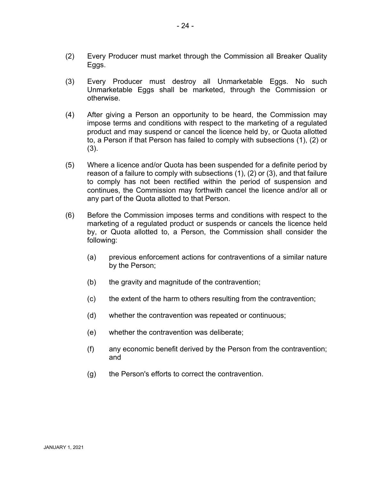- (2) Every Producer must market through the Commission all Breaker Quality Eggs.
- (3) Every Producer must destroy all Unmarketable Eggs. No such Unmarketable Eggs shall be marketed, through the Commission or otherwise.
- (4) After giving a Person an opportunity to be heard, the Commission may impose terms and conditions with respect to the marketing of a regulated product and may suspend or cancel the licence held by, or Quota allotted to, a Person if that Person has failed to comply with subsections (1), (2) or (3).
- (5) Where a licence and/or Quota has been suspended for a definite period by reason of a failure to comply with subsections (1), (2) or (3), and that failure to comply has not been rectified within the period of suspension and continues, the Commission may forthwith cancel the licence and/or all or any part of the Quota allotted to that Person.
- (6) Before the Commission imposes terms and conditions with respect to the marketing of a regulated product or suspends or cancels the licence held by, or Quota allotted to, a Person, the Commission shall consider the following:
	- (a) previous enforcement actions for contraventions of a similar nature by the Person;
	- (b) the gravity and magnitude of the contravention;
	- (c) the extent of the harm to others resulting from the contravention;
	- (d) whether the contravention was repeated or continuous;
	- (e) whether the contravention was deliberate;
	- (f) any economic benefit derived by the Person from the contravention; and
	- (g) the Person's efforts to correct the contravention.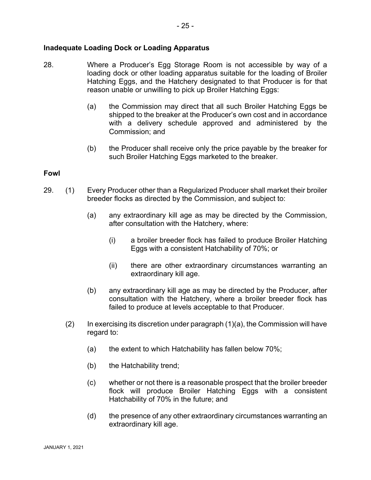## **Inadequate Loading Dock or Loading Apparatus**

- 28. Where a Producer's Egg Storage Room is not accessible by way of a loading dock or other loading apparatus suitable for the loading of Broiler Hatching Eggs, and the Hatchery designated to that Producer is for that reason unable or unwilling to pick up Broiler Hatching Eggs:
	- (a) the Commission may direct that all such Broiler Hatching Eggs be shipped to the breaker at the Producer's own cost and in accordance with a delivery schedule approved and administered by the Commission; and
	- (b) the Producer shall receive only the price payable by the breaker for such Broiler Hatching Eggs marketed to the breaker.

#### **Fowl**

- 29. (1) Every Producer other than a Regularized Producer shall market their broiler breeder flocks as directed by the Commission, and subject to:
	- (a) any extraordinary kill age as may be directed by the Commission, after consultation with the Hatchery, where:
		- (i) a broiler breeder flock has failed to produce Broiler Hatching Eggs with a consistent Hatchability of 70%; or
		- (ii) there are other extraordinary circumstances warranting an extraordinary kill age.
	- (b) any extraordinary kill age as may be directed by the Producer, after consultation with the Hatchery, where a broiler breeder flock has failed to produce at levels acceptable to that Producer.
	- $(2)$  In exercising its discretion under paragraph  $(1)(a)$ , the Commission will have regard to:
		- (a) the extent to which Hatchability has fallen below 70%;
		- (b) the Hatchability trend;
		- (c) whether or not there is a reasonable prospect that the broiler breeder flock will produce Broiler Hatching Eggs with a consistent Hatchability of 70% in the future; and
		- (d) the presence of any other extraordinary circumstances warranting an extraordinary kill age.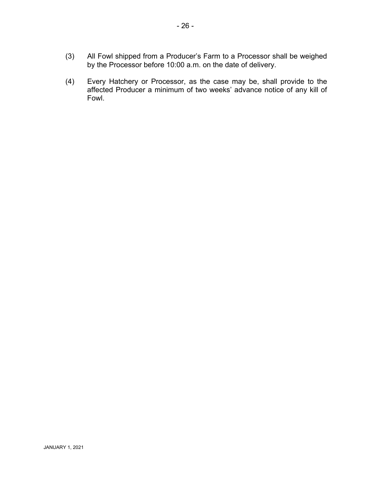- (3) All Fowl shipped from a Producer's Farm to a Processor shall be weighed by the Processor before 10:00 a.m. on the date of delivery.
- (4) Every Hatchery or Processor, as the case may be, shall provide to the affected Producer a minimum of two weeks' advance notice of any kill of Fowl.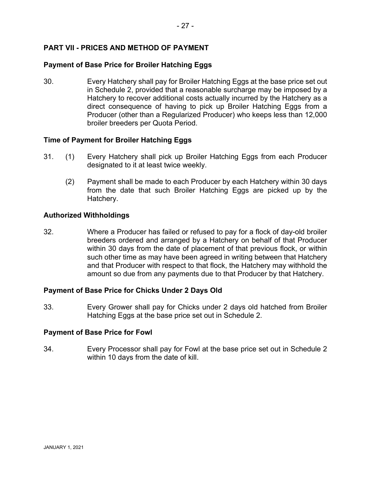# **PART VII - PRICES AND METHOD OF PAYMENT**

# **Payment of Base Price for Broiler Hatching Eggs**

30. Every Hatchery shall pay for Broiler Hatching Eggs at the base price set out in Schedule 2, provided that a reasonable surcharge may be imposed by a Hatchery to recover additional costs actually incurred by the Hatchery as a direct consequence of having to pick up Broiler Hatching Eggs from a Producer (other than a Regularized Producer) who keeps less than 12,000 broiler breeders per Quota Period.

## **Time of Payment for Broiler Hatching Eggs**

- 31. (1) Every Hatchery shall pick up Broiler Hatching Eggs from each Producer designated to it at least twice weekly.
	- (2) Payment shall be made to each Producer by each Hatchery within 30 days from the date that such Broiler Hatching Eggs are picked up by the Hatchery.

## **Authorized Withholdings**

32. Where a Producer has failed or refused to pay for a flock of day-old broiler breeders ordered and arranged by a Hatchery on behalf of that Producer within 30 days from the date of placement of that previous flock, or within such other time as may have been agreed in writing between that Hatchery and that Producer with respect to that flock, the Hatchery may withhold the amount so due from any payments due to that Producer by that Hatchery.

#### **Payment of Base Price for Chicks Under 2 Days Old**

33. Every Grower shall pay for Chicks under 2 days old hatched from Broiler Hatching Eggs at the base price set out in Schedule 2.

#### **Payment of Base Price for Fowl**

34. Every Processor shall pay for Fowl at the base price set out in Schedule 2 within 10 days from the date of kill.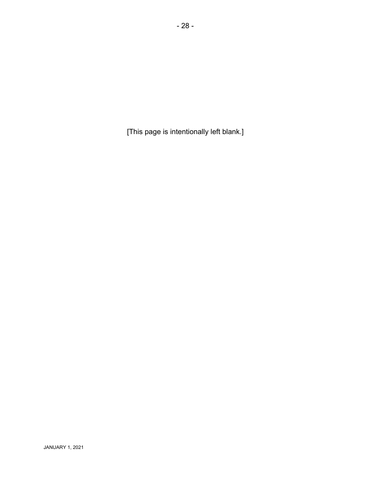[This page is intentionally left blank.]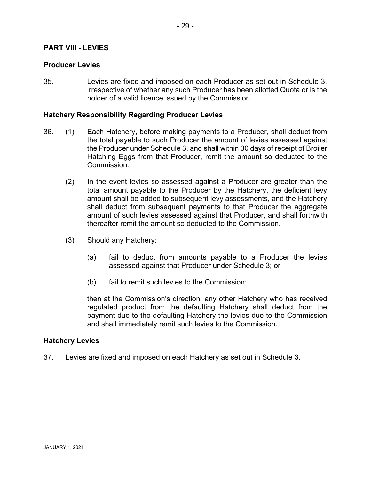## **PART VIII - LEVIES**

### **Producer Levies**

35. Levies are fixed and imposed on each Producer as set out in Schedule 3, irrespective of whether any such Producer has been allotted Quota or is the holder of a valid licence issued by the Commission.

### **Hatchery Responsibility Regarding Producer Levies**

- 36. (1) Each Hatchery, before making payments to a Producer, shall deduct from the total payable to such Producer the amount of levies assessed against the Producer under Schedule 3, and shall within 30 days of receipt of Broiler Hatching Eggs from that Producer, remit the amount so deducted to the **Commission** 
	- (2) In the event levies so assessed against a Producer are greater than the total amount payable to the Producer by the Hatchery, the deficient levy amount shall be added to subsequent levy assessments, and the Hatchery shall deduct from subsequent payments to that Producer the aggregate amount of such levies assessed against that Producer, and shall forthwith thereafter remit the amount so deducted to the Commission.
	- (3) Should any Hatchery:
		- (a) fail to deduct from amounts payable to a Producer the levies assessed against that Producer under Schedule 3; or
		- (b) fail to remit such levies to the Commission;

 then at the Commission's direction, any other Hatchery who has received regulated product from the defaulting Hatchery shall deduct from the payment due to the defaulting Hatchery the levies due to the Commission and shall immediately remit such levies to the Commission.

#### **Hatchery Levies**

37. Levies are fixed and imposed on each Hatchery as set out in Schedule 3.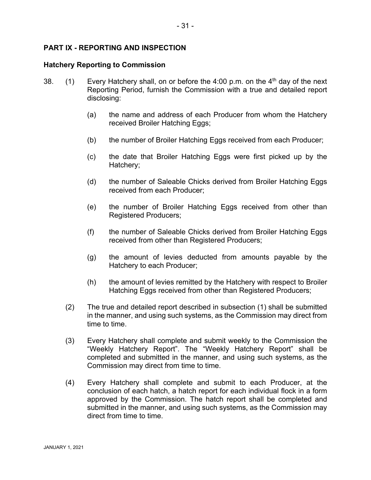# **PART IX - REPORTING AND INSPECTION**

#### **Hatchery Reporting to Commission**

- 38. (1) Every Hatchery shall, on or before the 4:00 p.m. on the  $4<sup>th</sup>$  day of the next Reporting Period, furnish the Commission with a true and detailed report disclosing:
	- (a) the name and address of each Producer from whom the Hatchery received Broiler Hatching Eggs;
	- (b) the number of Broiler Hatching Eggs received from each Producer;
	- (c) the date that Broiler Hatching Eggs were first picked up by the Hatchery;
	- (d) the number of Saleable Chicks derived from Broiler Hatching Eggs received from each Producer;
	- (e) the number of Broiler Hatching Eggs received from other than Registered Producers;
	- (f) the number of Saleable Chicks derived from Broiler Hatching Eggs received from other than Registered Producers;
	- (g) the amount of levies deducted from amounts payable by the Hatchery to each Producer;
	- (h) the amount of levies remitted by the Hatchery with respect to Broiler Hatching Eggs received from other than Registered Producers;
	- (2) The true and detailed report described in subsection (1) shall be submitted in the manner, and using such systems, as the Commission may direct from time to time.
	- (3) Every Hatchery shall complete and submit weekly to the Commission the "Weekly Hatchery Report". The "Weekly Hatchery Report" shall be completed and submitted in the manner, and using such systems, as the Commission may direct from time to time.
	- (4) Every Hatchery shall complete and submit to each Producer, at the conclusion of each hatch, a hatch report for each individual flock in a form approved by the Commission. The hatch report shall be completed and submitted in the manner, and using such systems, as the Commission may direct from time to time.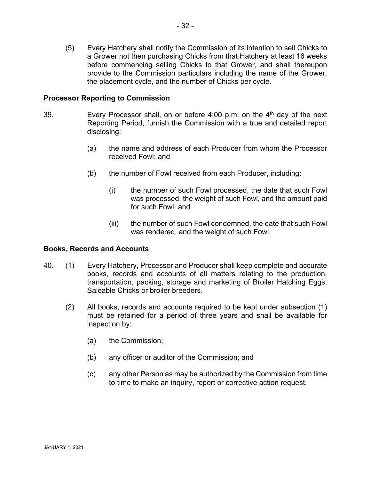(5) Every Hatchery shall notify the Commission of its intention to sell Chicks to a Grower not then purchasing Chicks from that Hatchery at least 16 weeks before commencing selling Chicks to that Grower, and shall thereupon provide to the Commission particulars including the name of the Grower, the placement cycle, and the number of Chicks per cycle.

## **Processor Reporting to Commission**

- 39. Every Processor shall, on or before  $4:00$  p.m. on the  $4<sup>th</sup>$  day of the next Reporting Period, furnish the Commission with a true and detailed report disclosing:
	- (a) the name and address of each Producer from whom the Processor received Fowl; and
	- (b) the number of Fowl received from each Producer, including:
		- (i) the number of such Fowl processed, the date that such Fowl was processed, the weight of such Fowl, and the amount paid for such Fowl; and
		- (iii) the number of such Fowl condemned, the date that such Fowl was rendered, and the weight of such Fowl.

# **Books, Records and Accounts**

- 40. (1) Every Hatchery, Processor and Producer shall keep complete and accurate books, records and accounts of all matters relating to the production, transportation, packing, storage and marketing of Broiler Hatching Eggs, Saleable Chicks or broiler breeders.
	- (2) All books, records and accounts required to be kept under subsection (1) must be retained for a period of three years and shall be available for inspection by:
		- (a) the Commission;
		- (b) any officer or auditor of the Commission; and
		- (c) any other Person as may be authorized by the Commission from time to time to make an inquiry, report or corrective action request.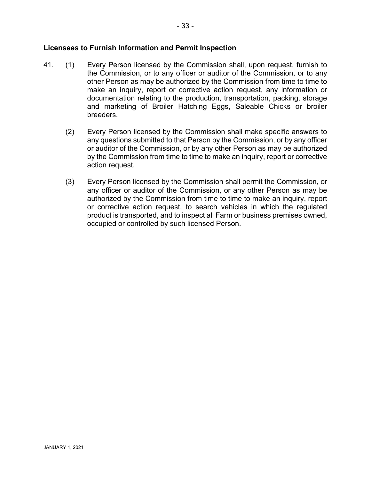# **Licensees to Furnish Information and Permit Inspection**

- 41. (1) Every Person licensed by the Commission shall, upon request, furnish to the Commission, or to any officer or auditor of the Commission, or to any other Person as may be authorized by the Commission from time to time to make an inquiry, report or corrective action request, any information or documentation relating to the production, transportation, packing, storage and marketing of Broiler Hatching Eggs, Saleable Chicks or broiler breeders.
	- (2) Every Person licensed by the Commission shall make specific answers to any questions submitted to that Person by the Commission, or by any officer or auditor of the Commission, or by any other Person as may be authorized by the Commission from time to time to make an inquiry, report or corrective action request.
	- (3) Every Person licensed by the Commission shall permit the Commission, or any officer or auditor of the Commission, or any other Person as may be authorized by the Commission from time to time to make an inquiry, report or corrective action request, to search vehicles in which the regulated product is transported, and to inspect all Farm or business premises owned, occupied or controlled by such licensed Person.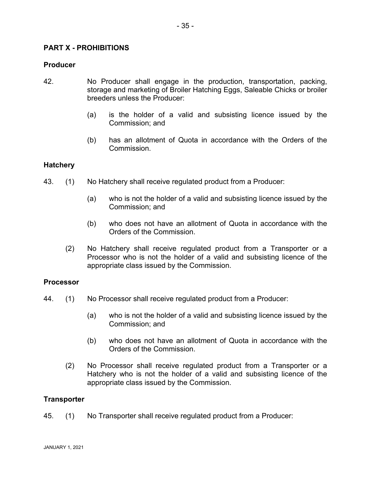# **PART X - PROHIBITIONS**

### **Producer**

- 42. No Producer shall engage in the production, transportation, packing, storage and marketing of Broiler Hatching Eggs, Saleable Chicks or broiler breeders unless the Producer:
	- (a) is the holder of a valid and subsisting licence issued by the Commission; and
	- (b) has an allotment of Quota in accordance with the Orders of the Commission.

#### **Hatchery**

- 43. (1) No Hatchery shall receive regulated product from a Producer:
	- (a) who is not the holder of a valid and subsisting licence issued by the Commission; and
	- (b) who does not have an allotment of Quota in accordance with the Orders of the Commission.
	- (2) No Hatchery shall receive regulated product from a Transporter or a Processor who is not the holder of a valid and subsisting licence of the appropriate class issued by the Commission.

#### **Processor**

- 44. (1) No Processor shall receive regulated product from a Producer:
	- (a) who is not the holder of a valid and subsisting licence issued by the Commission; and
	- (b) who does not have an allotment of Quota in accordance with the Orders of the Commission.
	- (2) No Processor shall receive regulated product from a Transporter or a Hatchery who is not the holder of a valid and subsisting licence of the appropriate class issued by the Commission.

### **Transporter**

45. (1) No Transporter shall receive regulated product from a Producer: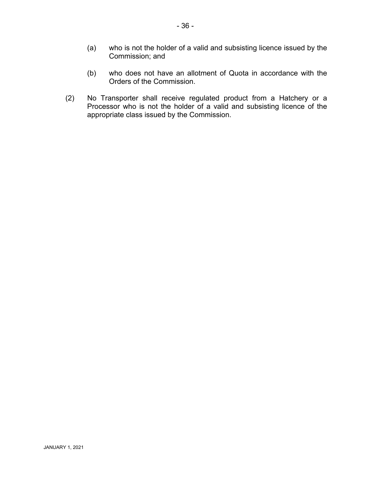- (a) who is not the holder of a valid and subsisting licence issued by the Commission; and
- (b) who does not have an allotment of Quota in accordance with the Orders of the Commission.
- (2) No Transporter shall receive regulated product from a Hatchery or a Processor who is not the holder of a valid and subsisting licence of the appropriate class issued by the Commission.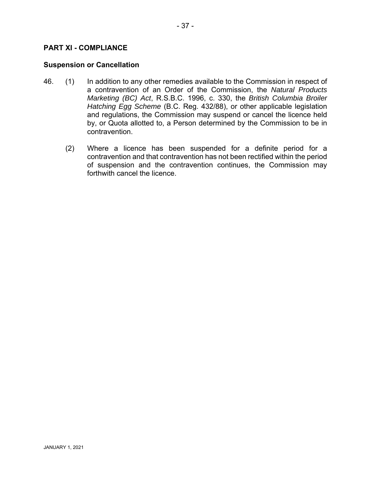# **PART XI - COMPLIANCE**

### **Suspension or Cancellation**

- 46. (1) In addition to any other remedies available to the Commission in respect of a contravention of an Order of the Commission, the *Natural Products Marketing (BC) Act*, R.S.B.C. 1996, c. 330, the *British Columbia Broiler Hatching Egg Scheme* (B.C. Reg. 432/88), or other applicable legislation and regulations, the Commission may suspend or cancel the licence held by, or Quota allotted to, a Person determined by the Commission to be in contravention.
	- (2) Where a licence has been suspended for a definite period for a contravention and that contravention has not been rectified within the period of suspension and the contravention continues, the Commission may forthwith cancel the licence.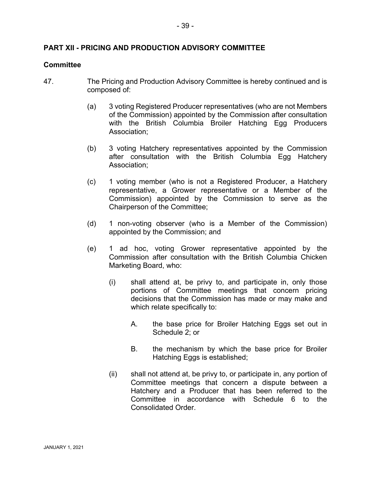# **PART XII - PRICING AND PRODUCTION ADVISORY COMMITTEE**

# **Committee**

- 47. The Pricing and Production Advisory Committee is hereby continued and is composed of:
	- (a) 3 voting Registered Producer representatives (who are not Members of the Commission) appointed by the Commission after consultation with the British Columbia Broiler Hatching Egg Producers Association;
	- (b) 3 voting Hatchery representatives appointed by the Commission after consultation with the British Columbia Egg Hatchery Association;
	- (c) 1 voting member (who is not a Registered Producer, a Hatchery representative, a Grower representative or a Member of the Commission) appointed by the Commission to serve as the Chairperson of the Committee;
	- (d) 1 non-voting observer (who is a Member of the Commission) appointed by the Commission; and
	- (e) 1 ad hoc, voting Grower representative appointed by the Commission after consultation with the British Columbia Chicken Marketing Board, who:
		- (i) shall attend at, be privy to, and participate in, only those portions of Committee meetings that concern pricing decisions that the Commission has made or may make and which relate specifically to:
			- A. the base price for Broiler Hatching Eggs set out in Schedule 2; or
			- B. the mechanism by which the base price for Broiler Hatching Eggs is established;
		- (ii) shall not attend at, be privy to, or participate in, any portion of Committee meetings that concern a dispute between a Hatchery and a Producer that has been referred to the Committee in accordance with Schedule 6 to the Consolidated Order.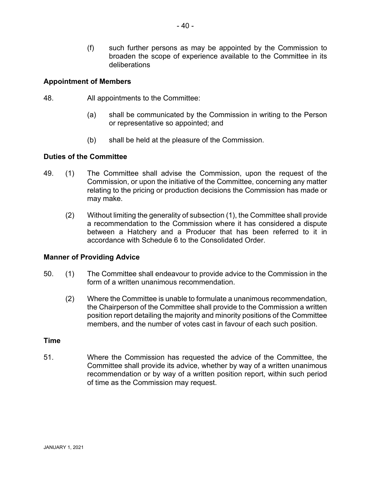(f) such further persons as may be appointed by the Commission to broaden the scope of experience available to the Committee in its deliberations

## **Appointment of Members**

- 48. All appointments to the Committee:
	- (a) shall be communicated by the Commission in writing to the Person or representative so appointed; and
	- (b) shall be held at the pleasure of the Commission.

### **Duties of the Committee**

- 49. (1) The Committee shall advise the Commission, upon the request of the Commission, or upon the initiative of the Committee, concerning any matter relating to the pricing or production decisions the Commission has made or may make.
	- (2) Without limiting the generality of subsection (1), the Committee shall provide a recommendation to the Commission where it has considered a dispute between a Hatchery and a Producer that has been referred to it in accordance with Schedule 6 to the Consolidated Order.

### **Manner of Providing Advice**

- 50. (1) The Committee shall endeavour to provide advice to the Commission in the form of a written unanimous recommendation.
	- (2) Where the Committee is unable to formulate a unanimous recommendation, the Chairperson of the Committee shall provide to the Commission a written position report detailing the majority and minority positions of the Committee members, and the number of votes cast in favour of each such position.

### **Time**

51. Where the Commission has requested the advice of the Committee, the Committee shall provide its advice, whether by way of a written unanimous recommendation or by way of a written position report, within such period of time as the Commission may request.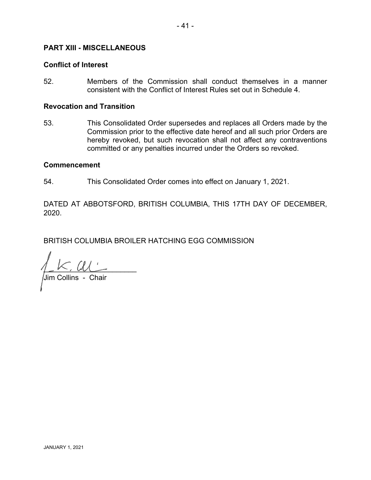# **PART XIII - MISCELLANEOUS**

#### **Conflict of Interest**

52. Members of the Commission shall conduct themselves in a manner consistent with the Conflict of Interest Rules set out in Schedule 4.

#### **Revocation and Transition**

53. This Consolidated Order supersedes and replaces all Orders made by the Commission prior to the effective date hereof and all such prior Orders are hereby revoked, but such revocation shall not affect any contraventions committed or any penalties incurred under the Orders so revoked.

#### **Commencement**

54. This Consolidated Order comes into effect on January 1, 2021.

DATED AT ABBOTSFORD, BRITISH COLUMBIA, THIS 17TH DAY OF DECEMBER, 2020.

BRITISH COLUMBIA BROILER HATCHING EGG COMMISSION

 $1 - \kappa$ ,  $1 - \kappa$ 

Jim Collins - Chair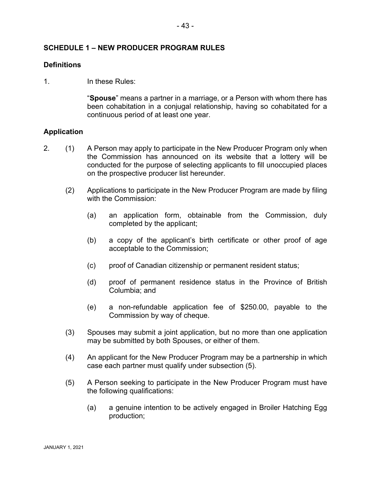# **SCHEDULE 1 – NEW PRODUCER PROGRAM RULES**

### **Definitions**

1. In these Rules:

"**Spouse**" means a partner in a marriage, or a Person with whom there has been cohabitation in a conjugal relationship, having so cohabitated for a continuous period of at least one year.

### **Application**

- 2. (1) A Person may apply to participate in the New Producer Program only when the Commission has announced on its website that a lottery will be conducted for the purpose of selecting applicants to fill unoccupied places on the prospective producer list hereunder.
	- (2) Applications to participate in the New Producer Program are made by filing with the Commission:
		- (a) an application form, obtainable from the Commission, duly completed by the applicant;
		- (b) a copy of the applicant's birth certificate or other proof of age acceptable to the Commission;
		- (c) proof of Canadian citizenship or permanent resident status;
		- (d) proof of permanent residence status in the Province of British Columbia; and
		- (e) a non-refundable application fee of \$250.00, payable to the Commission by way of cheque.
	- (3) Spouses may submit a joint application, but no more than one application may be submitted by both Spouses, or either of them.
	- (4) An applicant for the New Producer Program may be a partnership in which case each partner must qualify under subsection (5).
	- (5) A Person seeking to participate in the New Producer Program must have the following qualifications:
		- (a) a genuine intention to be actively engaged in Broiler Hatching Egg production;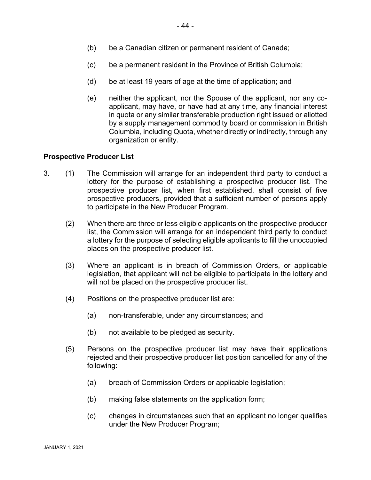- (b) be a Canadian citizen or permanent resident of Canada;
- (c) be a permanent resident in the Province of British Columbia;
- (d) be at least 19 years of age at the time of application; and
- (e) neither the applicant, nor the Spouse of the applicant, nor any coapplicant, may have, or have had at any time, any financial interest in quota or any similar transferable production right issued or allotted by a supply management commodity board or commission in British Columbia, including Quota, whether directly or indirectly, through any organization or entity.

# **Prospective Producer List**

- 3. (1) The Commission will arrange for an independent third party to conduct a lottery for the purpose of establishing a prospective producer list. The prospective producer list, when first established, shall consist of five prospective producers, provided that a sufficient number of persons apply to participate in the New Producer Program.
	- (2) When there are three or less eligible applicants on the prospective producer list, the Commission will arrange for an independent third party to conduct a lottery for the purpose of selecting eligible applicants to fill the unoccupied places on the prospective producer list.
	- (3) Where an applicant is in breach of Commission Orders, or applicable legislation, that applicant will not be eligible to participate in the lottery and will not be placed on the prospective producer list.
	- (4) Positions on the prospective producer list are:
		- (a) non-transferable, under any circumstances; and
		- (b) not available to be pledged as security.
	- (5) Persons on the prospective producer list may have their applications rejected and their prospective producer list position cancelled for any of the following:
		- (a) breach of Commission Orders or applicable legislation;
		- (b) making false statements on the application form;
		- (c) changes in circumstances such that an applicant no longer qualifies under the New Producer Program;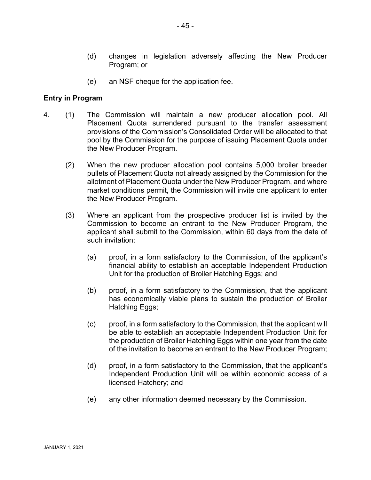- (d) changes in legislation adversely affecting the New Producer Program; or
- (e) an NSF cheque for the application fee.

### **Entry in Program**

- 4. (1) The Commission will maintain a new producer allocation pool. All Placement Quota surrendered pursuant to the transfer assessment provisions of the Commission's Consolidated Order will be allocated to that pool by the Commission for the purpose of issuing Placement Quota under the New Producer Program.
	- (2) When the new producer allocation pool contains 5,000 broiler breeder pullets of Placement Quota not already assigned by the Commission for the allotment of Placement Quota under the New Producer Program, and where market conditions permit, the Commission will invite one applicant to enter the New Producer Program.
	- (3) Where an applicant from the prospective producer list is invited by the Commission to become an entrant to the New Producer Program, the applicant shall submit to the Commission, within 60 days from the date of such invitation:
		- (a) proof, in a form satisfactory to the Commission, of the applicant's financial ability to establish an acceptable Independent Production Unit for the production of Broiler Hatching Eggs; and
		- (b) proof, in a form satisfactory to the Commission, that the applicant has economically viable plans to sustain the production of Broiler Hatching Eggs;
		- (c) proof, in a form satisfactory to the Commission, that the applicant will be able to establish an acceptable Independent Production Unit for the production of Broiler Hatching Eggs within one year from the date of the invitation to become an entrant to the New Producer Program;
		- (d) proof, in a form satisfactory to the Commission, that the applicant's Independent Production Unit will be within economic access of a licensed Hatchery; and
		- (e) any other information deemed necessary by the Commission.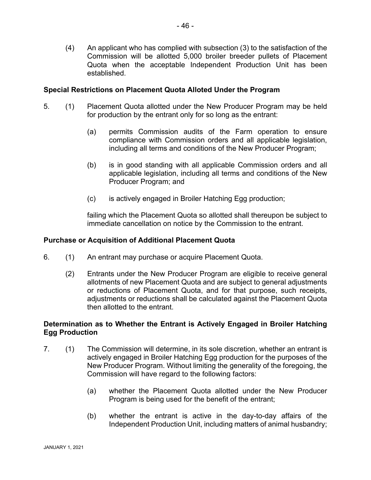(4) An applicant who has complied with subsection (3) to the satisfaction of the Commission will be allotted 5,000 broiler breeder pullets of Placement Quota when the acceptable Independent Production Unit has been established.

## **Special Restrictions on Placement Quota Alloted Under the Program**

- 5. (1) Placement Quota allotted under the New Producer Program may be held for production by the entrant only for so long as the entrant:
	- (a) permits Commission audits of the Farm operation to ensure compliance with Commission orders and all applicable legislation, including all terms and conditions of the New Producer Program;
	- (b) is in good standing with all applicable Commission orders and all applicable legislation, including all terms and conditions of the New Producer Program; and
	- (c) is actively engaged in Broiler Hatching Egg production;

 failing which the Placement Quota so allotted shall thereupon be subject to immediate cancellation on notice by the Commission to the entrant.

### **Purchase or Acquisition of Additional Placement Quota**

- 6. (1) An entrant may purchase or acquire Placement Quota.
	- (2) Entrants under the New Producer Program are eligible to receive general allotments of new Placement Quota and are subject to general adjustments or reductions of Placement Quota, and for that purpose, such receipts, adjustments or reductions shall be calculated against the Placement Quota then allotted to the entrant.

## **Determination as to Whether the Entrant is Actively Engaged in Broiler Hatching Egg Production**

- 7. (1) The Commission will determine, in its sole discretion, whether an entrant is actively engaged in Broiler Hatching Egg production for the purposes of the New Producer Program. Without limiting the generality of the foregoing, the Commission will have regard to the following factors:
	- (a) whether the Placement Quota allotted under the New Producer Program is being used for the benefit of the entrant;
	- (b) whether the entrant is active in the day-to-day affairs of the Independent Production Unit, including matters of animal husbandry;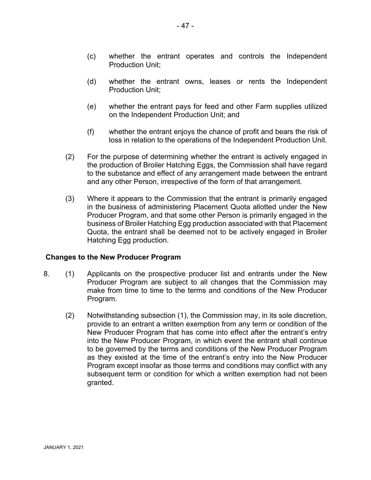- (c) whether the entrant operates and controls the Independent Production Unit;
- (d) whether the entrant owns, leases or rents the Independent Production Unit;
- (e) whether the entrant pays for feed and other Farm supplies utilized on the Independent Production Unit; and
- (f) whether the entrant enjoys the chance of profit and bears the risk of loss in relation to the operations of the Independent Production Unit.
- (2) For the purpose of determining whether the entrant is actively engaged in the production of Broiler Hatching Eggs, the Commission shall have regard to the substance and effect of any arrangement made between the entrant and any other Person, irrespective of the form of that arrangement.
- (3) Where it appears to the Commission that the entrant is primarily engaged in the business of administering Placement Quota allotted under the New Producer Program, and that some other Person is primarily engaged in the business of Broiler Hatching Egg production associated with that Placement Quota, the entrant shall be deemed not to be actively engaged in Broiler Hatching Egg production.

# **Changes to the New Producer Program**

- 8. (1) Applicants on the prospective producer list and entrants under the New Producer Program are subject to all changes that the Commission may make from time to time to the terms and conditions of the New Producer Program.
	- (2) Notwithstanding subsection (1), the Commission may, in its sole discretion, provide to an entrant a written exemption from any term or condition of the New Producer Program that has come into effect after the entrant's entry into the New Producer Program, in which event the entrant shall continue to be governed by the terms and conditions of the New Producer Program as they existed at the time of the entrant's entry into the New Producer Program except insofar as those terms and conditions may conflict with any subsequent term or condition for which a written exemption had not been granted.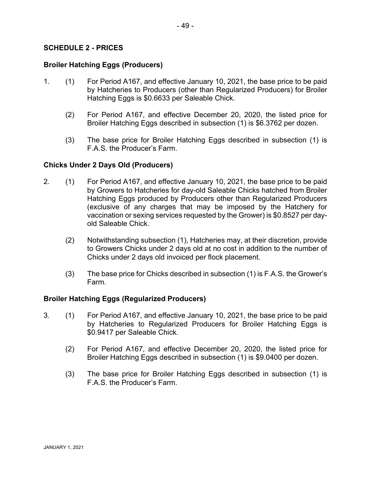# **SCHEDULE 2 - PRICES**

# **Broiler Hatching Eggs (Producers)**

- 1. (1) For Period A167, and effective January 10, 2021, the base price to be paid by Hatcheries to Producers (other than Regularized Producers) for Broiler Hatching Eggs is \$0.6633 per Saleable Chick.
	- (2) For Period A167, and effective December 20, 2020, the listed price for Broiler Hatching Eggs described in subsection (1) is \$6.3762 per dozen.
	- (3) The base price for Broiler Hatching Eggs described in subsection (1) is F.A.S. the Producer's Farm.

### **Chicks Under 2 Days Old (Producers)**

- 2. (1) For Period A167, and effective January 10, 2021, the base price to be paid by Growers to Hatcheries for day-old Saleable Chicks hatched from Broiler Hatching Eggs produced by Producers other than Regularized Producers (exclusive of any charges that may be imposed by the Hatchery for vaccination or sexing services requested by the Grower) is \$0.8527 per dayold Saleable Chick.
	- (2) Notwithstanding subsection (1), Hatcheries may, at their discretion, provide to Growers Chicks under 2 days old at no cost in addition to the number of Chicks under 2 days old invoiced per flock placement.
	- (3) The base price for Chicks described in subsection (1) is F.A.S. the Grower's Farm.

### **Broiler Hatching Eggs (Regularized Producers)**

- 3. (1) For Period A167, and effective January 10, 2021, the base price to be paid by Hatcheries to Regularized Producers for Broiler Hatching Eggs is \$0.9417 per Saleable Chick.
	- (2) For Period A167, and effective December 20, 2020, the listed price for Broiler Hatching Eggs described in subsection (1) is \$9.0400 per dozen.
	- (3) The base price for Broiler Hatching Eggs described in subsection (1) is F.A.S. the Producer's Farm.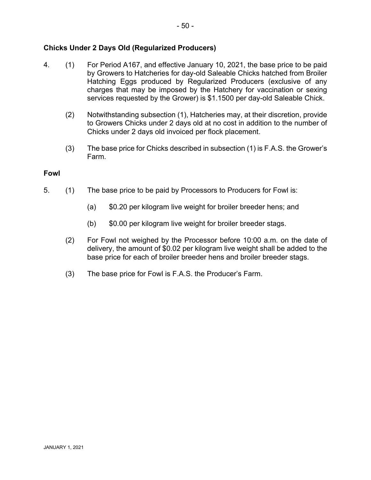# **Chicks Under 2 Days Old (Regularized Producers)**

- 4. (1) For Period A167, and effective January 10, 2021, the base price to be paid by Growers to Hatcheries for day-old Saleable Chicks hatched from Broiler Hatching Eggs produced by Regularized Producers (exclusive of any charges that may be imposed by the Hatchery for vaccination or sexing services requested by the Grower) is \$1.1500 per day-old Saleable Chick.
	- (2) Notwithstanding subsection (1), Hatcheries may, at their discretion, provide to Growers Chicks under 2 days old at no cost in addition to the number of Chicks under 2 days old invoiced per flock placement.
	- (3) The base price for Chicks described in subsection (1) is F.A.S. the Grower's Farm.

## **Fowl**

- 5. (1) The base price to be paid by Processors to Producers for Fowl is:
	- (a) \$0.20 per kilogram live weight for broiler breeder hens; and
	- (b) \$0.00 per kilogram live weight for broiler breeder stags.
	- (2) For Fowl not weighed by the Processor before 10:00 a.m. on the date of delivery, the amount of \$0.02 per kilogram live weight shall be added to the base price for each of broiler breeder hens and broiler breeder stags.
	- (3) The base price for Fowl is F.A.S. the Producer's Farm.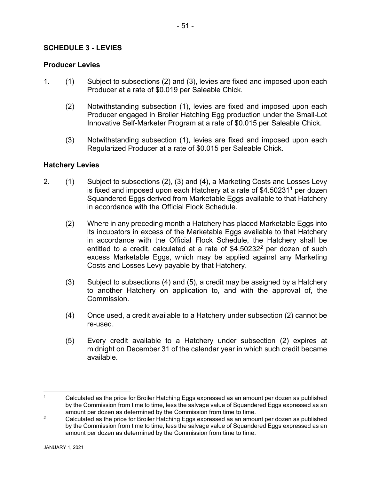# **SCHEDULE 3 - LEVIES**

# **Producer Levies**

- 1. (1) Subject to subsections (2) and (3), levies are fixed and imposed upon each Producer at a rate of \$0.019 per Saleable Chick.
	- (2) Notwithstanding subsection (1), levies are fixed and imposed upon each Producer engaged in Broiler Hatching Egg production under the Small-Lot Innovative Self-Marketer Program at a rate of \$0.015 per Saleable Chick.
	- (3) Notwithstanding subsection (1), levies are fixed and imposed upon each Regularized Producer at a rate of \$0.015 per Saleable Chick.

# **Hatchery Levies**

- 2. (1) Subject to subsections (2), (3) and (4), a Marketing Costs and Losses Levy is fixed and imposed upon each Hatchery at a rate of \$4.50231<sup>1</sup> per dozen Squandered Eggs derived from Marketable Eggs available to that Hatchery in accordance with the Official Flock Schedule.
	- (2) Where in any preceding month a Hatchery has placed Marketable Eggs into its incubators in excess of the Marketable Eggs available to that Hatchery in accordance with the Official Flock Schedule, the Hatchery shall be entitled to a credit, calculated at a rate of \$4.50232<sup>2</sup> per dozen of such excess Marketable Eggs, which may be applied against any Marketing Costs and Losses Levy payable by that Hatchery.
	- (3) Subject to subsections (4) and (5), a credit may be assigned by a Hatchery to another Hatchery on application to, and with the approval of, the Commission.
	- (4) Once used, a credit available to a Hatchery under subsection (2) cannot be re-used.
	- (5) Every credit available to a Hatchery under subsection (2) expires at midnight on December 31 of the calendar year in which such credit became available.

<sup>&</sup>lt;sup>1</sup> Calculated as the price for Broiler Hatching Eggs expressed as an amount per dozen as published by the Commission from time to time, less the salvage value of Squandered Eggs expressed as an amount per dozen as determined by the Commission from time to time.

 $2^2$  Calculated as the price for Broiler Hatching Eggs expressed as an amount per dozen as published by the Commission from time to time, less the salvage value of Squandered Eggs expressed as an amount per dozen as determined by the Commission from time to time.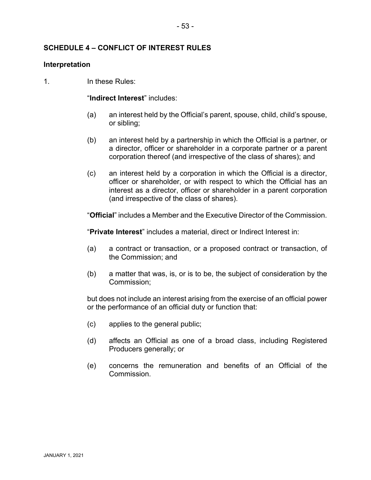# **SCHEDULE 4 – CONFLICT OF INTEREST RULES**

## **Interpretation**

1. In these Rules:

## "**Indirect Interest**" includes:

- (a) an interest held by the Official's parent, spouse, child, child's spouse, or sibling;
- (b) an interest held by a partnership in which the Official is a partner, or a director, officer or shareholder in a corporate partner or a parent corporation thereof (and irrespective of the class of shares); and
- (c) an interest held by a corporation in which the Official is a director, officer or shareholder, or with respect to which the Official has an interest as a director, officer or shareholder in a parent corporation (and irrespective of the class of shares).

"**Official**" includes a Member and the Executive Director of the Commission.

"**Private Interest**" includes a material, direct or Indirect Interest in:

- (a) a contract or transaction, or a proposed contract or transaction, of the Commission; and
- (b) a matter that was, is, or is to be, the subject of consideration by the Commission;

but does not include an interest arising from the exercise of an official power or the performance of an official duty or function that:

- (c) applies to the general public;
- (d) affects an Official as one of a broad class, including Registered Producers generally; or
- (e) concerns the remuneration and benefits of an Official of the Commission.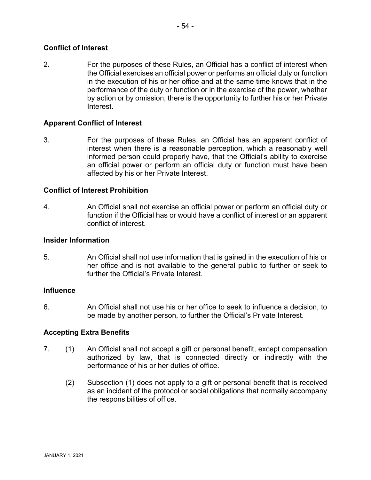# **Conflict of Interest**

2. For the purposes of these Rules, an Official has a conflict of interest when the Official exercises an official power or performs an official duty or function in the execution of his or her office and at the same time knows that in the performance of the duty or function or in the exercise of the power, whether by action or by omission, there is the opportunity to further his or her Private Interest.

## **Apparent Conflict of Interest**

3. For the purposes of these Rules, an Official has an apparent conflict of interest when there is a reasonable perception, which a reasonably well informed person could properly have, that the Official's ability to exercise an official power or perform an official duty or function must have been affected by his or her Private Interest.

## **Conflict of Interest Prohibition**

4. An Official shall not exercise an official power or perform an official duty or function if the Official has or would have a conflict of interest or an apparent conflict of interest.

### **Insider Information**

5. An Official shall not use information that is gained in the execution of his or her office and is not available to the general public to further or seek to further the Official's Private Interest.

### **Influence**

6. An Official shall not use his or her office to seek to influence a decision, to be made by another person, to further the Official's Private Interest.

### **Accepting Extra Benefits**

- 7. (1) An Official shall not accept a gift or personal benefit, except compensation authorized by law, that is connected directly or indirectly with the performance of his or her duties of office.
	- (2) Subsection (1) does not apply to a gift or personal benefit that is received as an incident of the protocol or social obligations that normally accompany the responsibilities of office.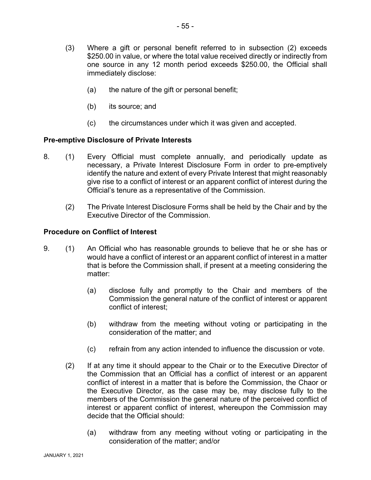- (3) Where a gift or personal benefit referred to in subsection (2) exceeds \$250.00 in value, or where the total value received directly or indirectly from one source in any 12 month period exceeds \$250.00, the Official shall immediately disclose:
	- (a) the nature of the gift or personal benefit;
	- (b) its source; and
	- (c) the circumstances under which it was given and accepted.

### **Pre-emptive Disclosure of Private Interests**

- 8. (1) Every Official must complete annually, and periodically update as necessary, a Private Interest Disclosure Form in order to pre-emptively identify the nature and extent of every Private Interest that might reasonably give rise to a conflict of interest or an apparent conflict of interest during the Official's tenure as a representative of the Commission.
	- (2) The Private Interest Disclosure Forms shall be held by the Chair and by the Executive Director of the Commission.

## **Procedure on Conflict of Interest**

- 9. (1) An Official who has reasonable grounds to believe that he or she has or would have a conflict of interest or an apparent conflict of interest in a matter that is before the Commission shall, if present at a meeting considering the matter:
	- (a) disclose fully and promptly to the Chair and members of the Commission the general nature of the conflict of interest or apparent conflict of interest;
	- (b) withdraw from the meeting without voting or participating in the consideration of the matter; and
	- (c) refrain from any action intended to influence the discussion or vote.
	- (2) If at any time it should appear to the Chair or to the Executive Director of the Commission that an Official has a conflict of interest or an apparent conflict of interest in a matter that is before the Commission, the Chaor or the Executive Director, as the case may be, may disclose fully to the members of the Commission the general nature of the perceived conflict of interest or apparent conflict of interest, whereupon the Commission may decide that the Official should:
		- (a) withdraw from any meeting without voting or participating in the consideration of the matter; and/or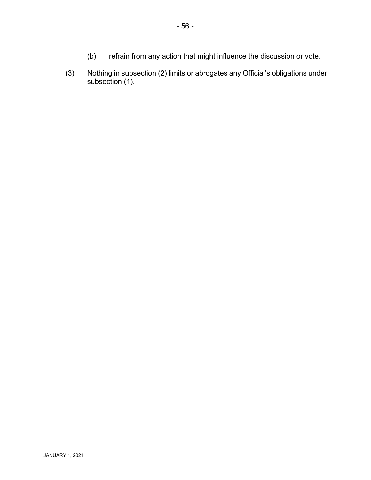- (b) refrain from any action that might influence the discussion or vote.
- (3) Nothing in subsection (2) limits or abrogates any Official's obligations under subsection (1).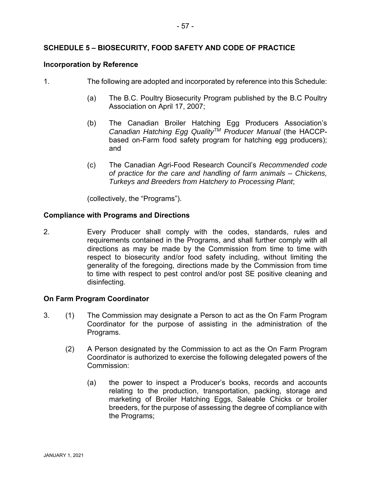# **SCHEDULE 5 – BIOSECURITY, FOOD SAFETY AND CODE OF PRACTICE**

# **Incorporation by Reference**

- 1. The following are adopted and incorporated by reference into this Schedule:
	- (a) The B.C. Poultry Biosecurity Program published by the B.C Poultry Association on April 17, 2007;
	- (b) The Canadian Broiler Hatching Egg Producers Association's *Canadian Hatching Egg QualityTM Producer Manual* (the HACCPbased on-Farm food safety program for hatching egg producers); and
	- (c) The Canadian Agri-Food Research Council's *Recommended code of practice for the care and handling of farm animals – Chickens, Turkeys and Breeders from Hatchery to Processing Plant*;

(collectively, the "Programs").

## **Compliance with Programs and Directions**

2. Every Producer shall comply with the codes, standards, rules and requirements contained in the Programs, and shall further comply with all directions as may be made by the Commission from time to time with respect to biosecurity and/or food safety including, without limiting the generality of the foregoing, directions made by the Commission from time to time with respect to pest control and/or post SE positive cleaning and disinfecting.

# **On Farm Program Coordinator**

- 3. (1) The Commission may designate a Person to act as the On Farm Program Coordinator for the purpose of assisting in the administration of the Programs.
	- (2) A Person designated by the Commission to act as the On Farm Program Coordinator is authorized to exercise the following delegated powers of the Commission:
		- (a) the power to inspect a Producer's books, records and accounts relating to the production, transportation, packing, storage and marketing of Broiler Hatching Eggs, Saleable Chicks or broiler breeders, for the purpose of assessing the degree of compliance with the Programs;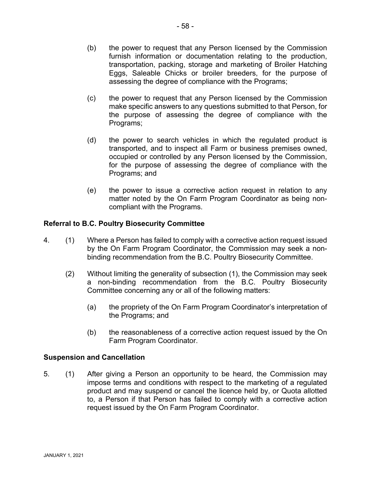- (b) the power to request that any Person licensed by the Commission furnish information or documentation relating to the production, transportation, packing, storage and marketing of Broiler Hatching Eggs, Saleable Chicks or broiler breeders, for the purpose of assessing the degree of compliance with the Programs;
- (c) the power to request that any Person licensed by the Commission make specific answers to any questions submitted to that Person, for the purpose of assessing the degree of compliance with the Programs;
- (d) the power to search vehicles in which the regulated product is transported, and to inspect all Farm or business premises owned, occupied or controlled by any Person licensed by the Commission, for the purpose of assessing the degree of compliance with the Programs; and
- (e) the power to issue a corrective action request in relation to any matter noted by the On Farm Program Coordinator as being noncompliant with the Programs.

# **Referral to B.C. Poultry Biosecurity Committee**

- 4. (1) Where a Person has failed to comply with a corrective action request issued by the On Farm Program Coordinator, the Commission may seek a nonbinding recommendation from the B.C. Poultry Biosecurity Committee.
	- (2) Without limiting the generality of subsection (1), the Commission may seek a non-binding recommendation from the B.C. Poultry Biosecurity Committee concerning any or all of the following matters:
		- (a) the propriety of the On Farm Program Coordinator's interpretation of the Programs; and
		- (b) the reasonableness of a corrective action request issued by the On Farm Program Coordinator.

# **Suspension and Cancellation**

5. (1) After giving a Person an opportunity to be heard, the Commission may impose terms and conditions with respect to the marketing of a regulated product and may suspend or cancel the licence held by, or Quota allotted to, a Person if that Person has failed to comply with a corrective action request issued by the On Farm Program Coordinator.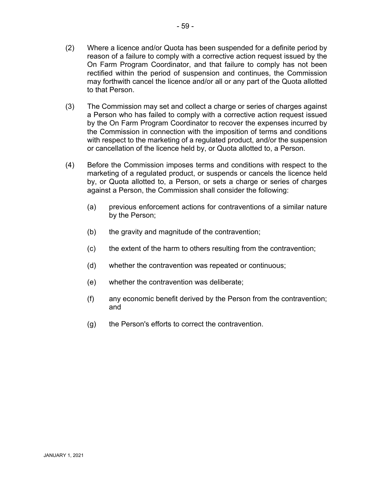- (2) Where a licence and/or Quota has been suspended for a definite period by reason of a failure to comply with a corrective action request issued by the On Farm Program Coordinator, and that failure to comply has not been rectified within the period of suspension and continues, the Commission may forthwith cancel the licence and/or all or any part of the Quota allotted to that Person.
- (3) The Commission may set and collect a charge or series of charges against a Person who has failed to comply with a corrective action request issued by the On Farm Program Coordinator to recover the expenses incurred by the Commission in connection with the imposition of terms and conditions with respect to the marketing of a regulated product, and/or the suspension or cancellation of the licence held by, or Quota allotted to, a Person.
- (4) Before the Commission imposes terms and conditions with respect to the marketing of a regulated product, or suspends or cancels the licence held by, or Quota allotted to, a Person, or sets a charge or series of charges against a Person, the Commission shall consider the following:
	- (a) previous enforcement actions for contraventions of a similar nature by the Person;
	- (b) the gravity and magnitude of the contravention;
	- (c) the extent of the harm to others resulting from the contravention;
	- (d) whether the contravention was repeated or continuous;
	- (e) whether the contravention was deliberate;
	- (f) any economic benefit derived by the Person from the contravention; and
	- (g) the Person's efforts to correct the contravention.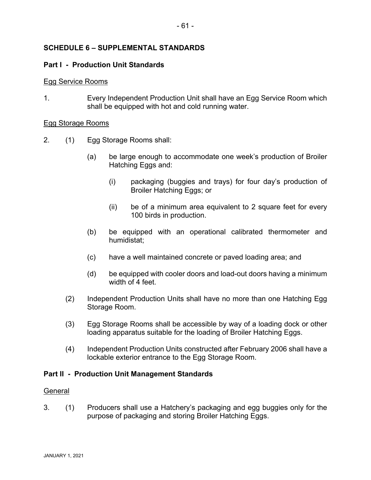# **SCHEDULE 6 – SUPPLEMENTAL STANDARDS**

## **Part I - Production Unit Standards**

#### Egg Service Rooms

1. Every Independent Production Unit shall have an Egg Service Room which shall be equipped with hot and cold running water.

### Egg Storage Rooms

- 2. (1) Egg Storage Rooms shall:
	- (a) be large enough to accommodate one week's production of Broiler Hatching Eggs and:
		- (i) packaging (buggies and trays) for four day's production of Broiler Hatching Eggs; or
		- (ii) be of a minimum area equivalent to 2 square feet for every 100 birds in production.
	- (b) be equipped with an operational calibrated thermometer and humidistat;
	- (c) have a well maintained concrete or paved loading area; and
	- (d) be equipped with cooler doors and load-out doors having a minimum width of 4 feet.
	- (2) Independent Production Units shall have no more than one Hatching Egg Storage Room.
	- (3) Egg Storage Rooms shall be accessible by way of a loading dock or other loading apparatus suitable for the loading of Broiler Hatching Eggs.
	- (4) Independent Production Units constructed after February 2006 shall have a lockable exterior entrance to the Egg Storage Room.

### **Part II - Production Unit Management Standards**

#### **General**

3. (1) Producers shall use a Hatchery's packaging and egg buggies only for the purpose of packaging and storing Broiler Hatching Eggs.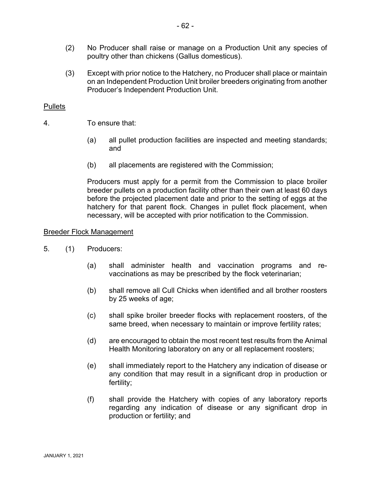- (2) No Producer shall raise or manage on a Production Unit any species of poultry other than chickens (Gallus domesticus).
- (3) Except with prior notice to the Hatchery, no Producer shall place or maintain on an Independent Production Unit broiler breeders originating from another Producer's Independent Production Unit.

#### **Pullets**

- 4. To ensure that:
	- (a) all pullet production facilities are inspected and meeting standards; and
	- (b) all placements are registered with the Commission;

 Producers must apply for a permit from the Commission to place broiler breeder pullets on a production facility other than their own at least 60 days before the projected placement date and prior to the setting of eggs at the hatchery for that parent flock. Changes in pullet flock placement, when necessary, will be accepted with prior notification to the Commission.

### Breeder Flock Management

- 5. (1) Producers:
	- (a) shall administer health and vaccination programs and revaccinations as may be prescribed by the flock veterinarian;
	- (b) shall remove all Cull Chicks when identified and all brother roosters by 25 weeks of age;
	- (c) shall spike broiler breeder flocks with replacement roosters, of the same breed, when necessary to maintain or improve fertility rates;
	- (d) are encouraged to obtain the most recent test results from the Animal Health Monitoring laboratory on any or all replacement roosters;
	- (e) shall immediately report to the Hatchery any indication of disease or any condition that may result in a significant drop in production or fertility;
	- (f) shall provide the Hatchery with copies of any laboratory reports regarding any indication of disease or any significant drop in production or fertility; and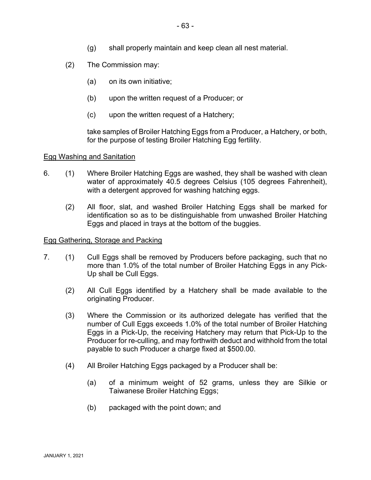- (g) shall properly maintain and keep clean all nest material.
- (2) The Commission may:
	- (a) on its own initiative;
	- (b) upon the written request of a Producer; or
	- (c) upon the written request of a Hatchery;

 take samples of Broiler Hatching Eggs from a Producer, a Hatchery, or both, for the purpose of testing Broiler Hatching Egg fertility.

## Egg Washing and Sanitation

- 6. (1) Where Broiler Hatching Eggs are washed, they shall be washed with clean water of approximately 40.5 degrees Celsius (105 degrees Fahrenheit), with a detergent approved for washing hatching eggs.
	- (2) All floor, slat, and washed Broiler Hatching Eggs shall be marked for identification so as to be distinguishable from unwashed Broiler Hatching Eggs and placed in trays at the bottom of the buggies.

### Egg Gathering, Storage and Packing

- 7. (1) Cull Eggs shall be removed by Producers before packaging, such that no more than 1.0% of the total number of Broiler Hatching Eggs in any Pick-Up shall be Cull Eggs.
	- (2) All Cull Eggs identified by a Hatchery shall be made available to the originating Producer.
	- (3) Where the Commission or its authorized delegate has verified that the number of Cull Eggs exceeds 1.0% of the total number of Broiler Hatching Eggs in a Pick-Up, the receiving Hatchery may return that Pick-Up to the Producer for re-culling, and may forthwith deduct and withhold from the total payable to such Producer a charge fixed at \$500.00.
	- (4) All Broiler Hatching Eggs packaged by a Producer shall be:
		- (a) of a minimum weight of 52 grams, unless they are Silkie or Taiwanese Broiler Hatching Eggs;
		- (b) packaged with the point down; and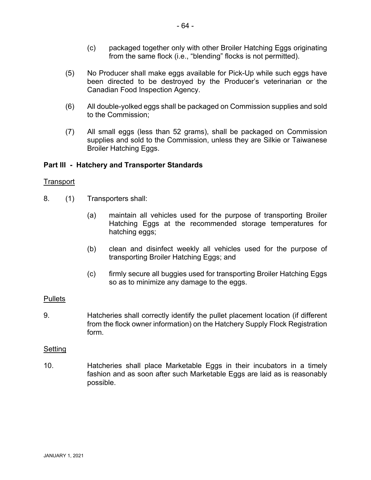- (c) packaged together only with other Broiler Hatching Eggs originating from the same flock (i.e., "blending" flocks is not permitted).
- (5) No Producer shall make eggs available for Pick-Up while such eggs have been directed to be destroyed by the Producer's veterinarian or the Canadian Food Inspection Agency.
- (6) All double-yolked eggs shall be packaged on Commission supplies and sold to the Commission;
- (7) All small eggs (less than 52 grams), shall be packaged on Commission supplies and sold to the Commission, unless they are Silkie or Taiwanese Broiler Hatching Eggs.

# **Part III - Hatchery and Transporter Standards**

### **Transport**

- 8. (1) Transporters shall:
	- (a) maintain all vehicles used for the purpose of transporting Broiler Hatching Eggs at the recommended storage temperatures for hatching eggs;
	- (b) clean and disinfect weekly all vehicles used for the purpose of transporting Broiler Hatching Eggs; and
	- (c) firmly secure all buggies used for transporting Broiler Hatching Eggs so as to minimize any damage to the eggs.

### Pullets

9. Hatcheries shall correctly identify the pullet placement location (if different from the flock owner information) on the Hatchery Supply Flock Registration form.

### Setting

10. Hatcheries shall place Marketable Eggs in their incubators in a timely fashion and as soon after such Marketable Eggs are laid as is reasonably possible.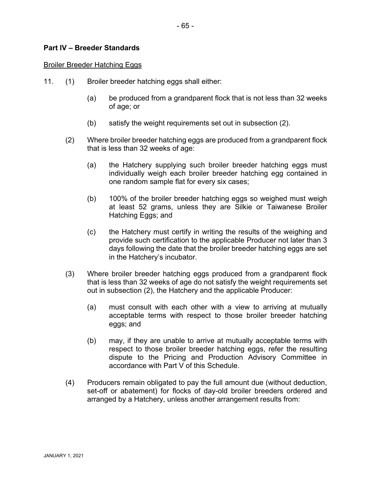# **Part IV – Breeder Standards**

#### Broiler Breeder Hatching Eggs

- 11. (1) Broiler breeder hatching eggs shall either:
	- (a) be produced from a grandparent flock that is not less than 32 weeks of age; or
	- (b) satisfy the weight requirements set out in subsection (2).
	- (2) Where broiler breeder hatching eggs are produced from a grandparent flock that is less than 32 weeks of age:
		- (a) the Hatchery supplying such broiler breeder hatching eggs must individually weigh each broiler breeder hatching egg contained in one random sample flat for every six cases;
		- (b) 100% of the broiler breeder hatching eggs so weighed must weigh at least 52 grams, unless they are Silkie or Taiwanese Broiler Hatching Eggs; and
		- (c) the Hatchery must certify in writing the results of the weighing and provide such certification to the applicable Producer not later than 3 days following the date that the broiler breeder hatching eggs are set in the Hatchery's incubator.
	- (3) Where broiler breeder hatching eggs produced from a grandparent flock that is less than 32 weeks of age do not satisfy the weight requirements set out in subsection (2), the Hatchery and the applicable Producer:
		- (a) must consult with each other with a view to arriving at mutually acceptable terms with respect to those broiler breeder hatching eggs; and
		- (b) may, if they are unable to arrive at mutually acceptable terms with respect to those broiler breeder hatching eggs, refer the resulting dispute to the Pricing and Production Advisory Committee in accordance with Part V of this Schedule.
	- (4) Producers remain obligated to pay the full amount due (without deduction, set-off or abatement) for flocks of day-old broiler breeders ordered and arranged by a Hatchery, unless another arrangement results from: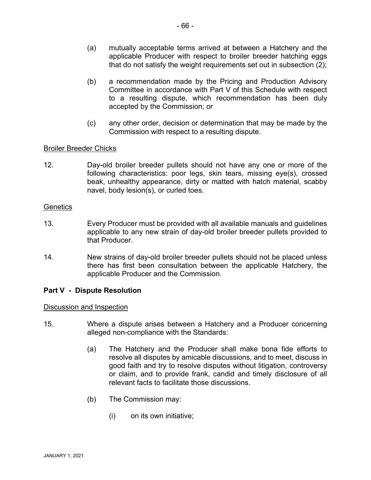- (a) mutually acceptable terms arrived at between a Hatchery and the applicable Producer with respect to broiler breeder hatching eggs that do not satisfy the weight requirements set out in subsection (2);
- (b) a recommendation made by the Pricing and Production Advisory Committee in accordance with Part V of this Schedule with respect to a resulting dispute, which recommendation has been duly accepted by the Commission; or
- (c) any other order, decision or determination that may be made by the Commission with respect to a resulting dispute.

### Broiler Breeder Chicks

12. Day-old broiler breeder pullets should not have any one or more of the following characteristics: poor legs, skin tears, missing eye(s), crossed beak, unhealthy appearance, dirty or matted with hatch material, scabby navel, body lesion(s), or curled toes.

### **Genetics**

- 13. Every Producer must be provided with all available manuals and guidelines applicable to any new strain of day-old broiler breeder pullets provided to that Producer.
- 14. New strains of day-old broiler breeder pullets should not be placed unless there has first been consultation between the applicable Hatchery, the applicable Producer and the Commission.

### **Part V - Dispute Resolution**

### Discussion and Inspection

- 15. Where a dispute arises between a Hatchery and a Producer concerning alleged non-compliance with the Standards:
	- (a) The Hatchery and the Producer shall make bona fide efforts to resolve all disputes by amicable discussions, and to meet, discuss in good faith and try to resolve disputes without litigation, controversy or claim, and to provide frank, candid and timely disclosure of all relevant facts to facilitate those discussions.
	- (b) The Commission may:
		- (i) on its own initiative;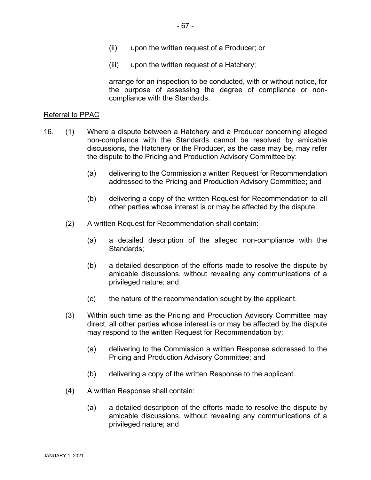- (ii) upon the written request of a Producer; or
- (iii) upon the written request of a Hatchery;

arrange for an inspection to be conducted, with or without notice, for the purpose of assessing the degree of compliance or noncompliance with the Standards.

### Referral to PPAC

- 16. (1) Where a dispute between a Hatchery and a Producer concerning alleged non-compliance with the Standards cannot be resolved by amicable discussions, the Hatchery or the Producer, as the case may be, may refer the dispute to the Pricing and Production Advisory Committee by:
	- (a) delivering to the Commission a written Request for Recommendation addressed to the Pricing and Production Advisory Committee; and
	- (b) delivering a copy of the written Request for Recommendation to all other parties whose interest is or may be affected by the dispute.
	- (2) A written Request for Recommendation shall contain:
		- (a) a detailed description of the alleged non-compliance with the Standards;
		- (b) a detailed description of the efforts made to resolve the dispute by amicable discussions, without revealing any communications of a privileged nature; and
		- (c) the nature of the recommendation sought by the applicant.
	- (3) Within such time as the Pricing and Production Advisory Committee may direct, all other parties whose interest is or may be affected by the dispute may respond to the written Request for Recommendation by:
		- (a) delivering to the Commission a written Response addressed to the Pricing and Production Advisory Committee; and
		- (b) delivering a copy of the written Response to the applicant.
	- (4) A written Response shall contain:
		- (a) a detailed description of the efforts made to resolve the dispute by amicable discussions, without revealing any communications of a privileged nature; and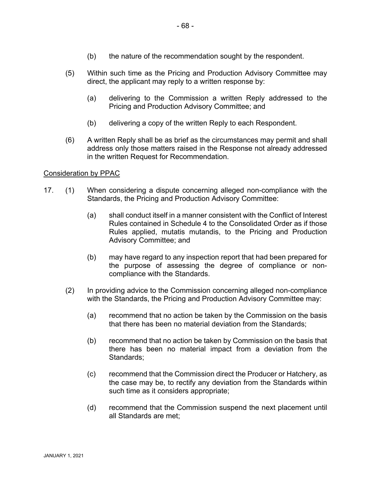- (b) the nature of the recommendation sought by the respondent.
- (5) Within such time as the Pricing and Production Advisory Committee may direct, the applicant may reply to a written response by:
	- (a) delivering to the Commission a written Reply addressed to the Pricing and Production Advisory Committee; and
	- (b) delivering a copy of the written Reply to each Respondent.
- (6) A written Reply shall be as brief as the circumstances may permit and shall address only those matters raised in the Response not already addressed in the written Request for Recommendation.

### Consideration by PPAC

- 17. (1) When considering a dispute concerning alleged non-compliance with the Standards, the Pricing and Production Advisory Committee:
	- (a) shall conduct itself in a manner consistent with the Conflict of Interest Rules contained in Schedule 4 to the Consolidated Order as if those Rules applied, mutatis mutandis, to the Pricing and Production Advisory Committee; and
	- (b) may have regard to any inspection report that had been prepared for the purpose of assessing the degree of compliance or noncompliance with the Standards.
	- (2) In providing advice to the Commission concerning alleged non-compliance with the Standards, the Pricing and Production Advisory Committee may:
		- (a) recommend that no action be taken by the Commission on the basis that there has been no material deviation from the Standards;
		- (b) recommend that no action be taken by Commission on the basis that there has been no material impact from a deviation from the Standards;
		- (c) recommend that the Commission direct the Producer or Hatchery, as the case may be, to rectify any deviation from the Standards within such time as it considers appropriate;
		- (d) recommend that the Commission suspend the next placement until all Standards are met;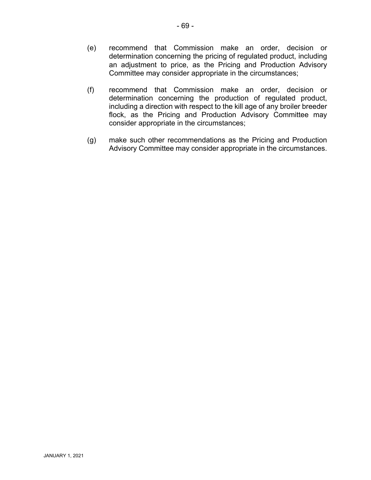- (e) recommend that Commission make an order, decision or determination concerning the pricing of regulated product, including an adjustment to price, as the Pricing and Production Advisory Committee may consider appropriate in the circumstances;
- (f) recommend that Commission make an order, decision or determination concerning the production of regulated product, including a direction with respect to the kill age of any broiler breeder flock, as the Pricing and Production Advisory Committee may consider appropriate in the circumstances;
- (g) make such other recommendations as the Pricing and Production Advisory Committee may consider appropriate in the circumstances.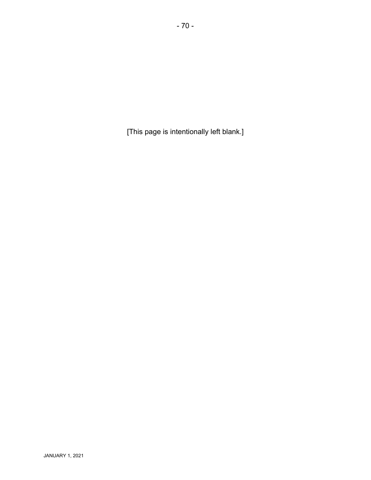[This page is intentionally left blank.]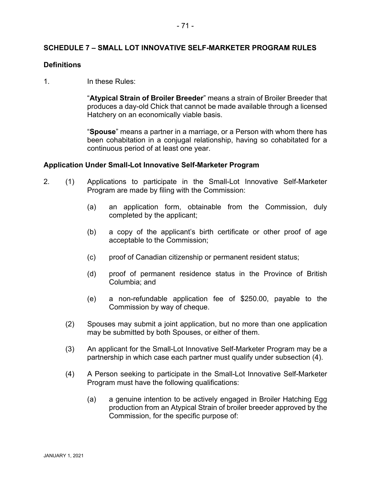# **SCHEDULE 7 – SMALL LOT INNOVATIVE SELF-MARKETER PROGRAM RULES**

# **Definitions**

1. In these Rules:

"**Atypical Strain of Broiler Breeder**" means a strain of Broiler Breeder that produces a day-old Chick that cannot be made available through a licensed Hatchery on an economically viable basis.

"**Spouse**" means a partner in a marriage, or a Person with whom there has been cohabitation in a conjugal relationship, having so cohabitated for a continuous period of at least one year.

### **Application Under Small-Lot Innovative Self-Marketer Program**

- 2. (1) Applications to participate in the Small-Lot Innovative Self-Marketer Program are made by filing with the Commission:
	- (a) an application form, obtainable from the Commission, duly completed by the applicant;
	- (b) a copy of the applicant's birth certificate or other proof of age acceptable to the Commission;
	- (c) proof of Canadian citizenship or permanent resident status;
	- (d) proof of permanent residence status in the Province of British Columbia; and
	- (e) a non-refundable application fee of \$250.00, payable to the Commission by way of cheque.
	- (2) Spouses may submit a joint application, but no more than one application may be submitted by both Spouses, or either of them.
	- (3) An applicant for the Small-Lot Innovative Self-Marketer Program may be a partnership in which case each partner must qualify under subsection (4).
	- (4) A Person seeking to participate in the Small-Lot Innovative Self-Marketer Program must have the following qualifications:
		- (a) a genuine intention to be actively engaged in Broiler Hatching Egg production from an Atypical Strain of broiler breeder approved by the Commission, for the specific purpose of: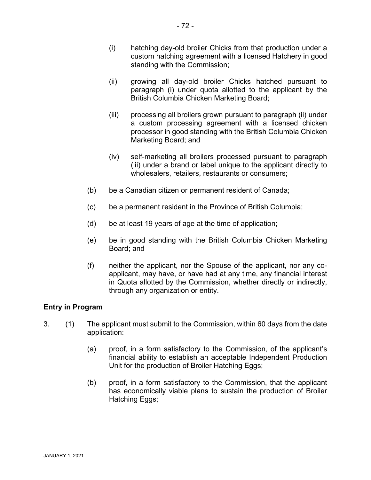- (ii) growing all day-old broiler Chicks hatched pursuant to paragraph (i) under quota allotted to the applicant by the British Columbia Chicken Marketing Board;
- (iii) processing all broilers grown pursuant to paragraph (ii) under a custom processing agreement with a licensed chicken processor in good standing with the British Columbia Chicken Marketing Board; and
- (iv) self-marketing all broilers processed pursuant to paragraph (iii) under a brand or label unique to the applicant directly to wholesalers, retailers, restaurants or consumers;
- (b) be a Canadian citizen or permanent resident of Canada;
- (c) be a permanent resident in the Province of British Columbia;
- (d) be at least 19 years of age at the time of application;
- (e) be in good standing with the British Columbia Chicken Marketing Board; and
- (f) neither the applicant, nor the Spouse of the applicant, nor any coapplicant, may have, or have had at any time, any financial interest in Quota allotted by the Commission, whether directly or indirectly, through any organization or entity.

# **Entry in Program**

- 3. (1) The applicant must submit to the Commission, within 60 days from the date application:
	- (a) proof, in a form satisfactory to the Commission, of the applicant's financial ability to establish an acceptable Independent Production Unit for the production of Broiler Hatching Eggs;
	- (b) proof, in a form satisfactory to the Commission, that the applicant has economically viable plans to sustain the production of Broiler Hatching Eggs;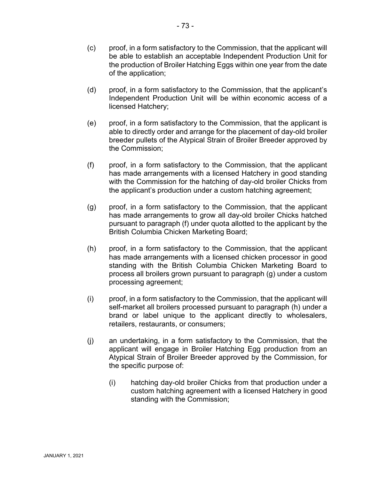- (d) proof, in a form satisfactory to the Commission, that the applicant's Independent Production Unit will be within economic access of a licensed Hatchery;
- (e) proof, in a form satisfactory to the Commission, that the applicant is able to directly order and arrange for the placement of day-old broiler breeder pullets of the Atypical Strain of Broiler Breeder approved by the Commission;
- (f) proof, in a form satisfactory to the Commission, that the applicant has made arrangements with a licensed Hatchery in good standing with the Commission for the hatching of day-old broiler Chicks from the applicant's production under a custom hatching agreement;
- (g) proof, in a form satisfactory to the Commission, that the applicant has made arrangements to grow all day-old broiler Chicks hatched pursuant to paragraph (f) under quota allotted to the applicant by the British Columbia Chicken Marketing Board;
- (h) proof, in a form satisfactory to the Commission, that the applicant has made arrangements with a licensed chicken processor in good standing with the British Columbia Chicken Marketing Board to process all broilers grown pursuant to paragraph (g) under a custom processing agreement;
- (i) proof, in a form satisfactory to the Commission, that the applicant will self-market all broilers processed pursuant to paragraph (h) under a brand or label unique to the applicant directly to wholesalers, retailers, restaurants, or consumers;
- (j) an undertaking, in a form satisfactory to the Commission, that the applicant will engage in Broiler Hatching Egg production from an Atypical Strain of Broiler Breeder approved by the Commission, for the specific purpose of:
	- (i) hatching day-old broiler Chicks from that production under a custom hatching agreement with a licensed Hatchery in good standing with the Commission;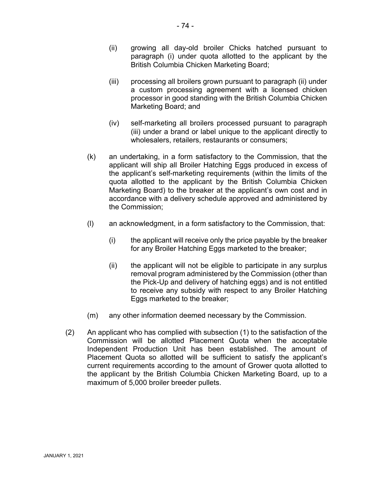- (ii) growing all day-old broiler Chicks hatched pursuant to paragraph (i) under quota allotted to the applicant by the British Columbia Chicken Marketing Board;
- (iii) processing all broilers grown pursuant to paragraph (ii) under a custom processing agreement with a licensed chicken processor in good standing with the British Columbia Chicken Marketing Board; and
- (iv) self-marketing all broilers processed pursuant to paragraph (iii) under a brand or label unique to the applicant directly to wholesalers, retailers, restaurants or consumers;
- (k) an undertaking, in a form satisfactory to the Commission, that the applicant will ship all Broiler Hatching Eggs produced in excess of the applicant's self-marketing requirements (within the limits of the quota allotted to the applicant by the British Columbia Chicken Marketing Board) to the breaker at the applicant's own cost and in accordance with a delivery schedule approved and administered by the Commission;
- (l) an acknowledgment, in a form satisfactory to the Commission, that:
	- (i) the applicant will receive only the price payable by the breaker for any Broiler Hatching Eggs marketed to the breaker;
	- (ii) the applicant will not be eligible to participate in any surplus removal program administered by the Commission (other than the Pick-Up and delivery of hatching eggs) and is not entitled to receive any subsidy with respect to any Broiler Hatching Eggs marketed to the breaker;
- (m) any other information deemed necessary by the Commission.
- (2) An applicant who has complied with subsection (1) to the satisfaction of the Commission will be allotted Placement Quota when the acceptable Independent Production Unit has been established. The amount of Placement Quota so allotted will be sufficient to satisfy the applicant's current requirements according to the amount of Grower quota allotted to the applicant by the British Columbia Chicken Marketing Board, up to a maximum of 5,000 broiler breeder pullets.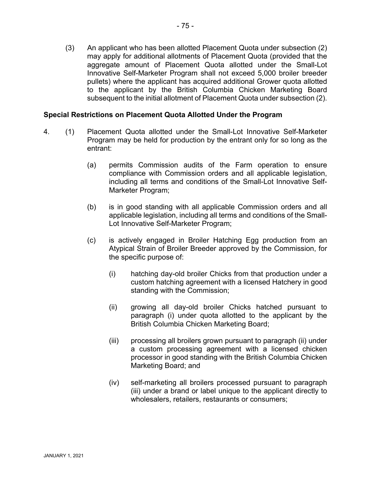(3) An applicant who has been allotted Placement Quota under subsection (2) may apply for additional allotments of Placement Quota (provided that the aggregate amount of Placement Quota allotted under the Small-Lot Innovative Self-Marketer Program shall not exceed 5,000 broiler breeder pullets) where the applicant has acquired additional Grower quota allotted to the applicant by the British Columbia Chicken Marketing Board subsequent to the initial allotment of Placement Quota under subsection (2).

### **Special Restrictions on Placement Quota Allotted Under the Program**

- 4. (1) Placement Quota allotted under the Small-Lot Innovative Self-Marketer Program may be held for production by the entrant only for so long as the entrant:
	- (a) permits Commission audits of the Farm operation to ensure compliance with Commission orders and all applicable legislation, including all terms and conditions of the Small-Lot Innovative Self-Marketer Program;
	- (b) is in good standing with all applicable Commission orders and all applicable legislation, including all terms and conditions of the Small-Lot Innovative Self-Marketer Program;
	- (c) is actively engaged in Broiler Hatching Egg production from an Atypical Strain of Broiler Breeder approved by the Commission, for the specific purpose of:
		- (i) hatching day-old broiler Chicks from that production under a custom hatching agreement with a licensed Hatchery in good standing with the Commission;
		- (ii) growing all day-old broiler Chicks hatched pursuant to paragraph (i) under quota allotted to the applicant by the British Columbia Chicken Marketing Board;
		- (iii) processing all broilers grown pursuant to paragraph (ii) under a custom processing agreement with a licensed chicken processor in good standing with the British Columbia Chicken Marketing Board; and
		- (iv) self-marketing all broilers processed pursuant to paragraph (iii) under a brand or label unique to the applicant directly to wholesalers, retailers, restaurants or consumers;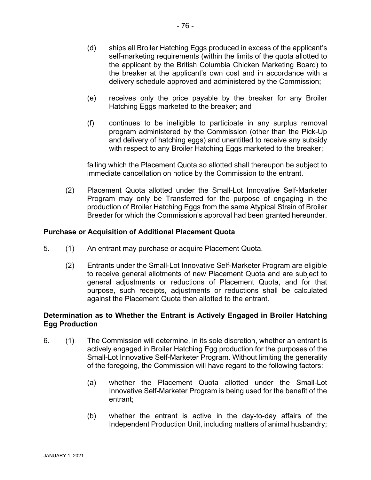- (d) ships all Broiler Hatching Eggs produced in excess of the applicant's self-marketing requirements (within the limits of the quota allotted to the applicant by the British Columbia Chicken Marketing Board) to the breaker at the applicant's own cost and in accordance with a delivery schedule approved and administered by the Commission;
- (e) receives only the price payable by the breaker for any Broiler Hatching Eggs marketed to the breaker; and
- (f) continues to be ineligible to participate in any surplus removal program administered by the Commission (other than the Pick-Up and delivery of hatching eggs) and unentitled to receive any subsidy with respect to any Broiler Hatching Eggs marketed to the breaker;

failing which the Placement Quota so allotted shall thereupon be subject to immediate cancellation on notice by the Commission to the entrant.

 (2) Placement Quota allotted under the Small-Lot Innovative Self-Marketer Program may only be Transferred for the purpose of engaging in the production of Broiler Hatching Eggs from the same Atypical Strain of Broiler Breeder for which the Commission's approval had been granted hereunder.

# **Purchase or Acquisition of Additional Placement Quota**

- 5. (1) An entrant may purchase or acquire Placement Quota.
	- (2) Entrants under the Small-Lot Innovative Self-Marketer Program are eligible to receive general allotments of new Placement Quota and are subject to general adjustments or reductions of Placement Quota, and for that purpose, such receipts, adjustments or reductions shall be calculated against the Placement Quota then allotted to the entrant.

### **Determination as to Whether the Entrant is Actively Engaged in Broiler Hatching Egg Production**

- 6. (1) The Commission will determine, in its sole discretion, whether an entrant is actively engaged in Broiler Hatching Egg production for the purposes of the Small-Lot Innovative Self-Marketer Program. Without limiting the generality of the foregoing, the Commission will have regard to the following factors:
	- (a) whether the Placement Quota allotted under the Small-Lot Innovative Self-Marketer Program is being used for the benefit of the entrant;
	- (b) whether the entrant is active in the day-to-day affairs of the Independent Production Unit, including matters of animal husbandry;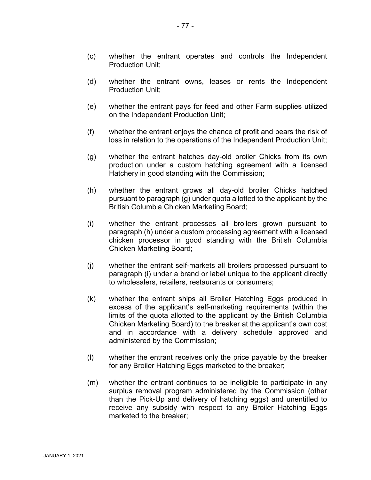- (c) whether the entrant operates and controls the Independent Production Unit;
- (d) whether the entrant owns, leases or rents the Independent Production Unit;
- (e) whether the entrant pays for feed and other Farm supplies utilized on the Independent Production Unit;
- (f) whether the entrant enjoys the chance of profit and bears the risk of loss in relation to the operations of the Independent Production Unit;
- (g) whether the entrant hatches day-old broiler Chicks from its own production under a custom hatching agreement with a licensed Hatchery in good standing with the Commission;
- (h) whether the entrant grows all day-old broiler Chicks hatched pursuant to paragraph (g) under quota allotted to the applicant by the British Columbia Chicken Marketing Board;
- (i) whether the entrant processes all broilers grown pursuant to paragraph (h) under a custom processing agreement with a licensed chicken processor in good standing with the British Columbia Chicken Marketing Board;
- (j) whether the entrant self-markets all broilers processed pursuant to paragraph (i) under a brand or label unique to the applicant directly to wholesalers, retailers, restaurants or consumers;
- (k) whether the entrant ships all Broiler Hatching Eggs produced in excess of the applicant's self-marketing requirements (within the limits of the quota allotted to the applicant by the British Columbia Chicken Marketing Board) to the breaker at the applicant's own cost and in accordance with a delivery schedule approved and administered by the Commission;
- (l) whether the entrant receives only the price payable by the breaker for any Broiler Hatching Eggs marketed to the breaker;
- (m) whether the entrant continues to be ineligible to participate in any surplus removal program administered by the Commission (other than the Pick-Up and delivery of hatching eggs) and unentitled to receive any subsidy with respect to any Broiler Hatching Eggs marketed to the breaker;